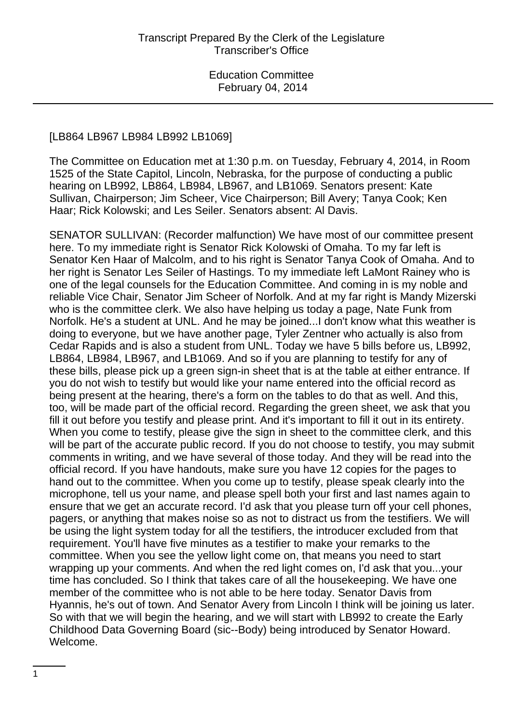#### [LB864 LB967 LB984 LB992 LB1069]

The Committee on Education met at 1:30 p.m. on Tuesday, February 4, 2014, in Room 1525 of the State Capitol, Lincoln, Nebraska, for the purpose of conducting a public hearing on LB992, LB864, LB984, LB967, and LB1069. Senators present: Kate Sullivan, Chairperson; Jim Scheer, Vice Chairperson; Bill Avery; Tanya Cook; Ken Haar; Rick Kolowski; and Les Seiler. Senators absent: Al Davis.

SENATOR SULLIVAN: (Recorder malfunction) We have most of our committee present here. To my immediate right is Senator Rick Kolowski of Omaha. To my far left is Senator Ken Haar of Malcolm, and to his right is Senator Tanya Cook of Omaha. And to her right is Senator Les Seiler of Hastings. To my immediate left LaMont Rainey who is one of the legal counsels for the Education Committee. And coming in is my noble and reliable Vice Chair, Senator Jim Scheer of Norfolk. And at my far right is Mandy Mizerski who is the committee clerk. We also have helping us today a page, Nate Funk from Norfolk. He's a student at UNL. And he may be joined...I don't know what this weather is doing to everyone, but we have another page, Tyler Zentner who actually is also from Cedar Rapids and is also a student from UNL. Today we have 5 bills before us, LB992, LB864, LB984, LB967, and LB1069. And so if you are planning to testify for any of these bills, please pick up a green sign-in sheet that is at the table at either entrance. If you do not wish to testify but would like your name entered into the official record as being present at the hearing, there's a form on the tables to do that as well. And this, too, will be made part of the official record. Regarding the green sheet, we ask that you fill it out before you testify and please print. And it's important to fill it out in its entirety. When you come to testify, please give the sign in sheet to the committee clerk, and this will be part of the accurate public record. If you do not choose to testify, you may submit comments in writing, and we have several of those today. And they will be read into the official record. If you have handouts, make sure you have 12 copies for the pages to hand out to the committee. When you come up to testify, please speak clearly into the microphone, tell us your name, and please spell both your first and last names again to ensure that we get an accurate record. I'd ask that you please turn off your cell phones, pagers, or anything that makes noise so as not to distract us from the testifiers. We will be using the light system today for all the testifiers, the introducer excluded from that requirement. You'll have five minutes as a testifier to make your remarks to the committee. When you see the yellow light come on, that means you need to start wrapping up your comments. And when the red light comes on, I'd ask that you...your time has concluded. So I think that takes care of all the housekeeping. We have one member of the committee who is not able to be here today. Senator Davis from Hyannis, he's out of town. And Senator Avery from Lincoln I think will be joining us later. So with that we will begin the hearing, and we will start with LB992 to create the Early Childhood Data Governing Board (sic--Body) being introduced by Senator Howard. Welcome.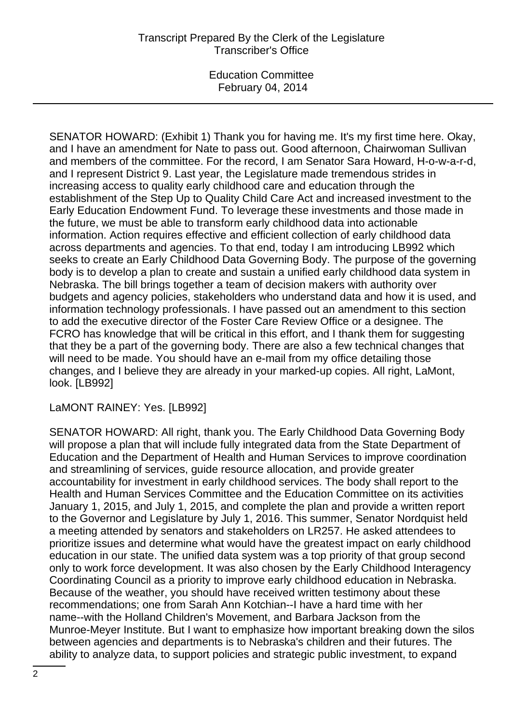SENATOR HOWARD: (Exhibit 1) Thank you for having me. It's my first time here. Okay, and I have an amendment for Nate to pass out. Good afternoon, Chairwoman Sullivan and members of the committee. For the record, I am Senator Sara Howard, H-o-w-a-r-d, and I represent District 9. Last year, the Legislature made tremendous strides in increasing access to quality early childhood care and education through the establishment of the Step Up to Quality Child Care Act and increased investment to the Early Education Endowment Fund. To leverage these investments and those made in the future, we must be able to transform early childhood data into actionable information. Action requires effective and efficient collection of early childhood data across departments and agencies. To that end, today I am introducing LB992 which seeks to create an Early Childhood Data Governing Body. The purpose of the governing body is to develop a plan to create and sustain a unified early childhood data system in Nebraska. The bill brings together a team of decision makers with authority over budgets and agency policies, stakeholders who understand data and how it is used, and information technology professionals. I have passed out an amendment to this section to add the executive director of the Foster Care Review Office or a designee. The FCRO has knowledge that will be critical in this effort, and I thank them for suggesting that they be a part of the governing body. There are also a few technical changes that will need to be made. You should have an e-mail from my office detailing those changes, and I believe they are already in your marked-up copies. All right, LaMont, look. [LB992]

LaMONT RAINEY: Yes. [LB992]

SENATOR HOWARD: All right, thank you. The Early Childhood Data Governing Body will propose a plan that will include fully integrated data from the State Department of Education and the Department of Health and Human Services to improve coordination and streamlining of services, guide resource allocation, and provide greater accountability for investment in early childhood services. The body shall report to the Health and Human Services Committee and the Education Committee on its activities January 1, 2015, and July 1, 2015, and complete the plan and provide a written report to the Governor and Legislature by July 1, 2016. This summer, Senator Nordquist held a meeting attended by senators and stakeholders on LR257. He asked attendees to prioritize issues and determine what would have the greatest impact on early childhood education in our state. The unified data system was a top priority of that group second only to work force development. It was also chosen by the Early Childhood Interagency Coordinating Council as a priority to improve early childhood education in Nebraska. Because of the weather, you should have received written testimony about these recommendations; one from Sarah Ann Kotchian--I have a hard time with her name--with the Holland Children's Movement, and Barbara Jackson from the Munroe-Meyer Institute. But I want to emphasize how important breaking down the silos between agencies and departments is to Nebraska's children and their futures. The ability to analyze data, to support policies and strategic public investment, to expand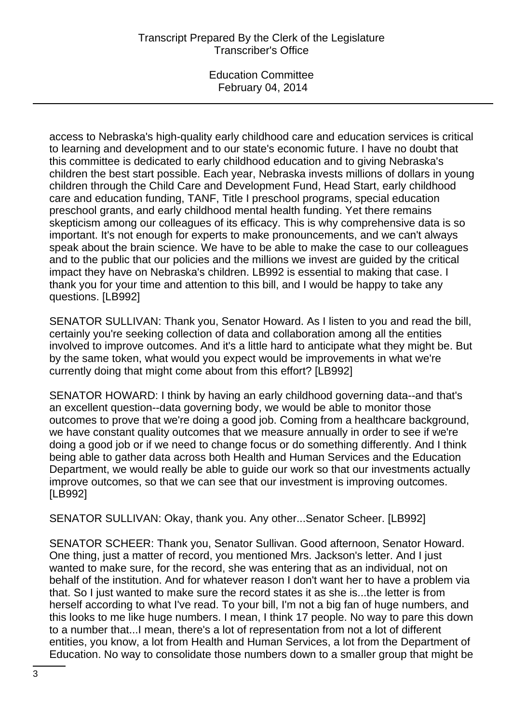## Transcript Prepared By the Clerk of the Legislature Transcriber's Office

Education Committee February 04, 2014

access to Nebraska's high-quality early childhood care and education services is critical to learning and development and to our state's economic future. I have no doubt that this committee is dedicated to early childhood education and to giving Nebraska's children the best start possible. Each year, Nebraska invests millions of dollars in young children through the Child Care and Development Fund, Head Start, early childhood care and education funding, TANF, Title I preschool programs, special education preschool grants, and early childhood mental health funding. Yet there remains skepticism among our colleagues of its efficacy. This is why comprehensive data is so important. It's not enough for experts to make pronouncements, and we can't always speak about the brain science. We have to be able to make the case to our colleagues and to the public that our policies and the millions we invest are guided by the critical impact they have on Nebraska's children. LB992 is essential to making that case. I thank you for your time and attention to this bill, and I would be happy to take any questions. [LB992]

SENATOR SULLIVAN: Thank you, Senator Howard. As I listen to you and read the bill, certainly you're seeking collection of data and collaboration among all the entities involved to improve outcomes. And it's a little hard to anticipate what they might be. But by the same token, what would you expect would be improvements in what we're currently doing that might come about from this effort? [LB992]

SENATOR HOWARD: I think by having an early childhood governing data--and that's an excellent question--data governing body, we would be able to monitor those outcomes to prove that we're doing a good job. Coming from a healthcare background, we have constant quality outcomes that we measure annually in order to see if we're doing a good job or if we need to change focus or do something differently. And I think being able to gather data across both Health and Human Services and the Education Department, we would really be able to guide our work so that our investments actually improve outcomes, so that we can see that our investment is improving outcomes. [LB992]

SENATOR SULLIVAN: Okay, thank you. Any other...Senator Scheer. [LB992]

SENATOR SCHEER: Thank you, Senator Sullivan. Good afternoon, Senator Howard. One thing, just a matter of record, you mentioned Mrs. Jackson's letter. And I just wanted to make sure, for the record, she was entering that as an individual, not on behalf of the institution. And for whatever reason I don't want her to have a problem via that. So I just wanted to make sure the record states it as she is...the letter is from herself according to what I've read. To your bill, I'm not a big fan of huge numbers, and this looks to me like huge numbers. I mean, I think 17 people. No way to pare this down to a number that...I mean, there's a lot of representation from not a lot of different entities, you know, a lot from Health and Human Services, a lot from the Department of Education. No way to consolidate those numbers down to a smaller group that might be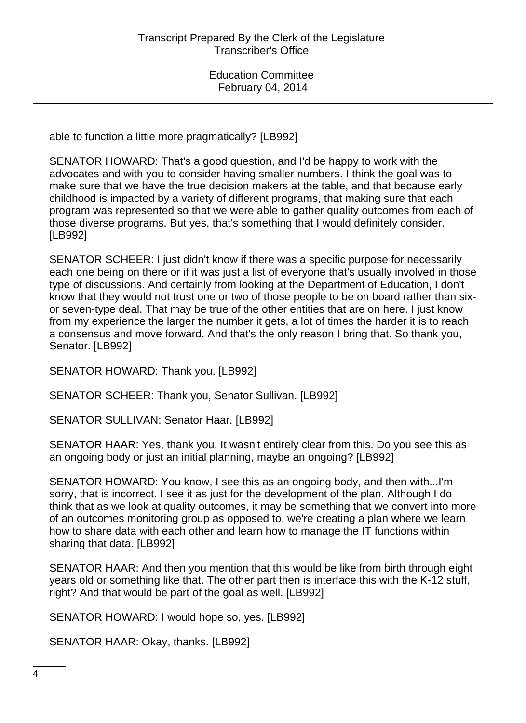able to function a little more pragmatically? [LB992]

SENATOR HOWARD: That's a good question, and I'd be happy to work with the advocates and with you to consider having smaller numbers. I think the goal was to make sure that we have the true decision makers at the table, and that because early childhood is impacted by a variety of different programs, that making sure that each program was represented so that we were able to gather quality outcomes from each of those diverse programs. But yes, that's something that I would definitely consider. [LB992]

SENATOR SCHEER: I just didn't know if there was a specific purpose for necessarily each one being on there or if it was just a list of everyone that's usually involved in those type of discussions. And certainly from looking at the Department of Education, I don't know that they would not trust one or two of those people to be on board rather than sixor seven-type deal. That may be true of the other entities that are on here. I just know from my experience the larger the number it gets, a lot of times the harder it is to reach a consensus and move forward. And that's the only reason I bring that. So thank you, Senator. [LB992]

SENATOR HOWARD: Thank you. [LB992]

SENATOR SCHEER: Thank you, Senator Sullivan. [LB992]

SENATOR SULLIVAN: Senator Haar. [LB992]

SENATOR HAAR: Yes, thank you. It wasn't entirely clear from this. Do you see this as an ongoing body or just an initial planning, maybe an ongoing? [LB992]

SENATOR HOWARD: You know, I see this as an ongoing body, and then with...I'm sorry, that is incorrect. I see it as just for the development of the plan. Although I do think that as we look at quality outcomes, it may be something that we convert into more of an outcomes monitoring group as opposed to, we're creating a plan where we learn how to share data with each other and learn how to manage the IT functions within sharing that data. [LB992]

SENATOR HAAR: And then you mention that this would be like from birth through eight years old or something like that. The other part then is interface this with the K-12 stuff, right? And that would be part of the goal as well. [LB992]

SENATOR HOWARD: I would hope so, yes. [LB992]

SENATOR HAAR: Okay, thanks. [LB992]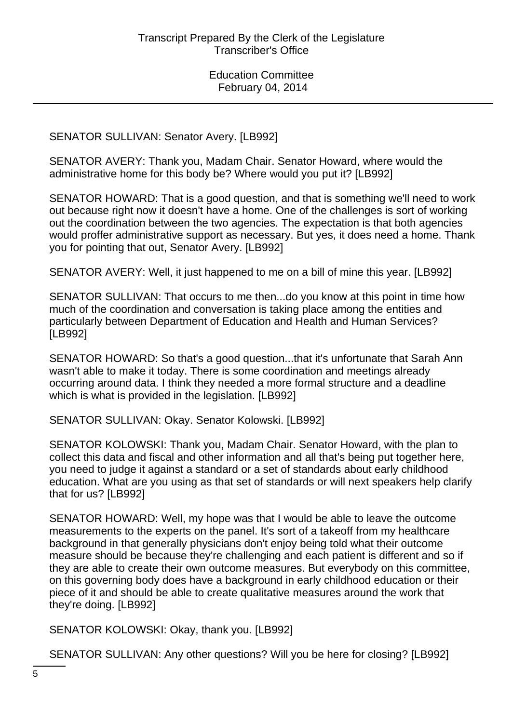SENATOR SULLIVAN: Senator Avery. [LB992]

SENATOR AVERY: Thank you, Madam Chair. Senator Howard, where would the administrative home for this body be? Where would you put it? [LB992]

SENATOR HOWARD: That is a good question, and that is something we'll need to work out because right now it doesn't have a home. One of the challenges is sort of working out the coordination between the two agencies. The expectation is that both agencies would proffer administrative support as necessary. But yes, it does need a home. Thank you for pointing that out, Senator Avery. [LB992]

SENATOR AVERY: Well, it just happened to me on a bill of mine this year. [LB992]

SENATOR SULLIVAN: That occurs to me then...do you know at this point in time how much of the coordination and conversation is taking place among the entities and particularly between Department of Education and Health and Human Services? [LB992]

SENATOR HOWARD: So that's a good question...that it's unfortunate that Sarah Ann wasn't able to make it today. There is some coordination and meetings already occurring around data. I think they needed a more formal structure and a deadline which is what is provided in the legislation. [LB992]

SENATOR SULLIVAN: Okay. Senator Kolowski. [LB992]

SENATOR KOLOWSKI: Thank you, Madam Chair. Senator Howard, with the plan to collect this data and fiscal and other information and all that's being put together here, you need to judge it against a standard or a set of standards about early childhood education. What are you using as that set of standards or will next speakers help clarify that for us? [LB992]

SENATOR HOWARD: Well, my hope was that I would be able to leave the outcome measurements to the experts on the panel. It's sort of a takeoff from my healthcare background in that generally physicians don't enjoy being told what their outcome measure should be because they're challenging and each patient is different and so if they are able to create their own outcome measures. But everybody on this committee, on this governing body does have a background in early childhood education or their piece of it and should be able to create qualitative measures around the work that they're doing. [LB992]

SENATOR KOLOWSKI: Okay, thank you. [LB992]

SENATOR SULLIVAN: Any other questions? Will you be here for closing? [LB992]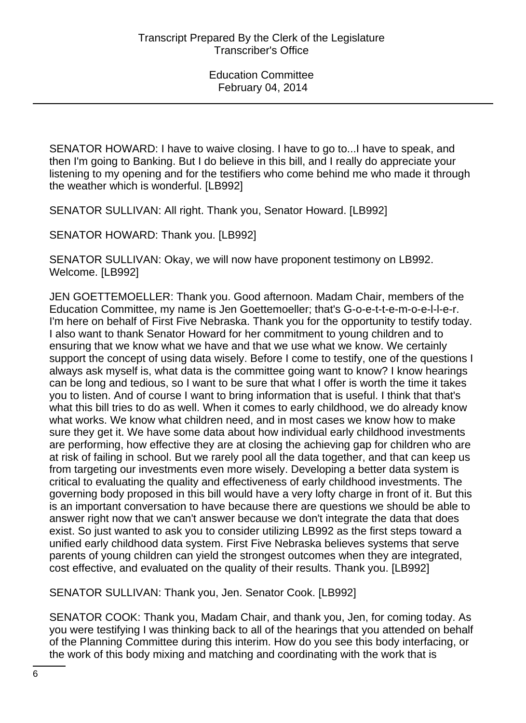SENATOR HOWARD: I have to waive closing. I have to go to...I have to speak, and then I'm going to Banking. But I do believe in this bill, and I really do appreciate your listening to my opening and for the testifiers who come behind me who made it through the weather which is wonderful. [LB992]

SENATOR SULLIVAN: All right. Thank you, Senator Howard. [LB992]

SENATOR HOWARD: Thank you. [LB992]

SENATOR SULLIVAN: Okay, we will now have proponent testimony on LB992. Welcome. [LB992]

JEN GOETTEMOELLER: Thank you. Good afternoon. Madam Chair, members of the Education Committee, my name is Jen Goettemoeller; that's G-o-e-t-t-e-m-o-e-l-l-e-r. I'm here on behalf of First Five Nebraska. Thank you for the opportunity to testify today. I also want to thank Senator Howard for her commitment to young children and to ensuring that we know what we have and that we use what we know. We certainly support the concept of using data wisely. Before I come to testify, one of the questions I always ask myself is, what data is the committee going want to know? I know hearings can be long and tedious, so I want to be sure that what I offer is worth the time it takes you to listen. And of course I want to bring information that is useful. I think that that's what this bill tries to do as well. When it comes to early childhood, we do already know what works. We know what children need, and in most cases we know how to make sure they get it. We have some data about how individual early childhood investments are performing, how effective they are at closing the achieving gap for children who are at risk of failing in school. But we rarely pool all the data together, and that can keep us from targeting our investments even more wisely. Developing a better data system is critical to evaluating the quality and effectiveness of early childhood investments. The governing body proposed in this bill would have a very lofty charge in front of it. But this is an important conversation to have because there are questions we should be able to answer right now that we can't answer because we don't integrate the data that does exist. So just wanted to ask you to consider utilizing LB992 as the first steps toward a unified early childhood data system. First Five Nebraska believes systems that serve parents of young children can yield the strongest outcomes when they are integrated, cost effective, and evaluated on the quality of their results. Thank you. [LB992]

SENATOR SULLIVAN: Thank you, Jen. Senator Cook. [LB992]

SENATOR COOK: Thank you, Madam Chair, and thank you, Jen, for coming today. As you were testifying I was thinking back to all of the hearings that you attended on behalf of the Planning Committee during this interim. How do you see this body interfacing, or the work of this body mixing and matching and coordinating with the work that is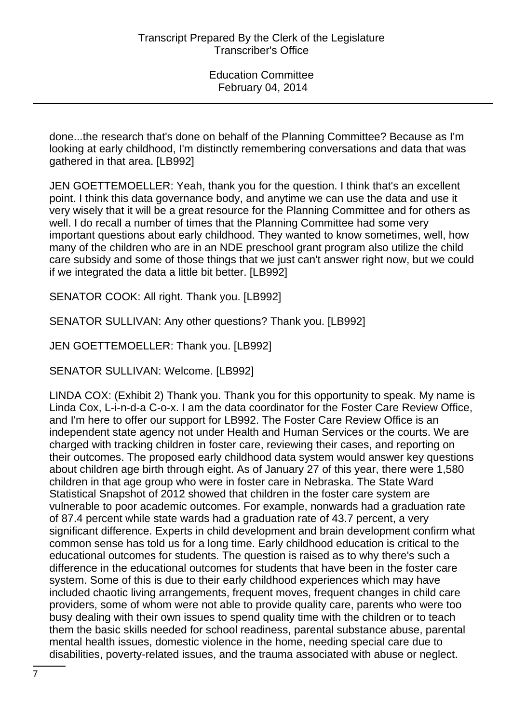done...the research that's done on behalf of the Planning Committee? Because as I'm looking at early childhood, I'm distinctly remembering conversations and data that was gathered in that area. [LB992]

JEN GOETTEMOELLER: Yeah, thank you for the question. I think that's an excellent point. I think this data governance body, and anytime we can use the data and use it very wisely that it will be a great resource for the Planning Committee and for others as well. I do recall a number of times that the Planning Committee had some very important questions about early childhood. They wanted to know sometimes, well, how many of the children who are in an NDE preschool grant program also utilize the child care subsidy and some of those things that we just can't answer right now, but we could if we integrated the data a little bit better. [LB992]

SENATOR COOK: All right. Thank you. [LB992]

SENATOR SULLIVAN: Any other questions? Thank you. [LB992]

JEN GOETTEMOELLER: Thank you. [LB992]

SENATOR SULLIVAN: Welcome. [LB992]

LINDA COX: (Exhibit 2) Thank you. Thank you for this opportunity to speak. My name is Linda Cox, L-i-n-d-a C-o-x. I am the data coordinator for the Foster Care Review Office, and I'm here to offer our support for LB992. The Foster Care Review Office is an independent state agency not under Health and Human Services or the courts. We are charged with tracking children in foster care, reviewing their cases, and reporting on their outcomes. The proposed early childhood data system would answer key questions about children age birth through eight. As of January 27 of this year, there were 1,580 children in that age group who were in foster care in Nebraska. The State Ward Statistical Snapshot of 2012 showed that children in the foster care system are vulnerable to poor academic outcomes. For example, nonwards had a graduation rate of 87.4 percent while state wards had a graduation rate of 43.7 percent, a very significant difference. Experts in child development and brain development confirm what common sense has told us for a long time. Early childhood education is critical to the educational outcomes for students. The question is raised as to why there's such a difference in the educational outcomes for students that have been in the foster care system. Some of this is due to their early childhood experiences which may have included chaotic living arrangements, frequent moves, frequent changes in child care providers, some of whom were not able to provide quality care, parents who were too busy dealing with their own issues to spend quality time with the children or to teach them the basic skills needed for school readiness, parental substance abuse, parental mental health issues, domestic violence in the home, needing special care due to disabilities, poverty-related issues, and the trauma associated with abuse or neglect.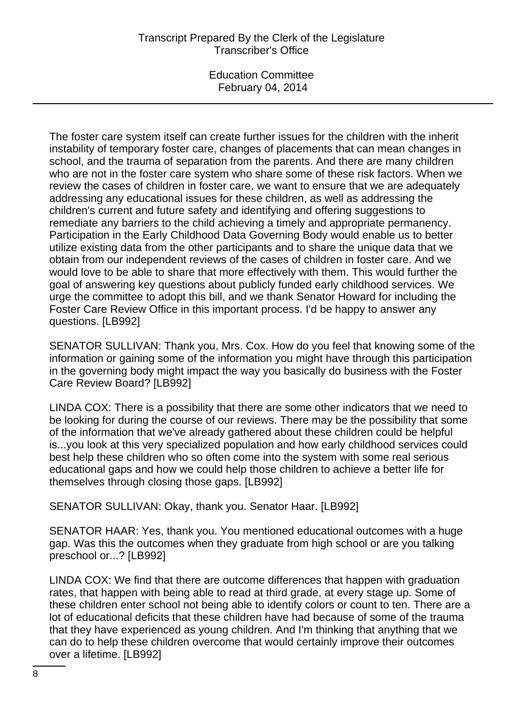The foster care system itself can create further issues for the children with the inherit instability of temporary foster care, changes of placements that can mean changes in school, and the trauma of separation from the parents. And there are many children who are not in the foster care system who share some of these risk factors. When we review the cases of children in foster care, we want to ensure that we are adequately addressing any educational issues for these children, as well as addressing the children's current and future safety and identifying and offering suggestions to remediate any barriers to the child achieving a timely and appropriate permanency. Participation in the Early Childhood Data Governing Body would enable us to better utilize existing data from the other participants and to share the unique data that we obtain from our independent reviews of the cases of children in foster care. And we would love to be able to share that more effectively with them. This would further the goal of answering key questions about publicly funded early childhood services. We urge the committee to adopt this bill, and we thank Senator Howard for including the Foster Care Review Office in this important process. I'd be happy to answer any questions. [LB992]

SENATOR SULLIVAN: Thank you, Mrs. Cox. How do you feel that knowing some of the information or gaining some of the information you might have through this participation in the governing body might impact the way you basically do business with the Foster Care Review Board? [LB992]

LINDA COX: There is a possibility that there are some other indicators that we need to be looking for during the course of our reviews. There may be the possibility that some of the information that we've already gathered about these children could be helpful is...you look at this very specialized population and how early childhood services could best help these children who so often come into the system with some real serious educational gaps and how we could help those children to achieve a better life for themselves through closing those gaps. [LB992]

SENATOR SULLIVAN: Okay, thank you. Senator Haar. [LB992]

SENATOR HAAR: Yes, thank you. You mentioned educational outcomes with a huge gap. Was this the outcomes when they graduate from high school or are you talking preschool or...? [LB992]

LINDA COX: We find that there are outcome differences that happen with graduation rates, that happen with being able to read at third grade, at every stage up. Some of these children enter school not being able to identify colors or count to ten. There are a lot of educational deficits that these children have had because of some of the trauma that they have experienced as young children. And I'm thinking that anything that we can do to help these children overcome that would certainly improve their outcomes over a lifetime. [LB992]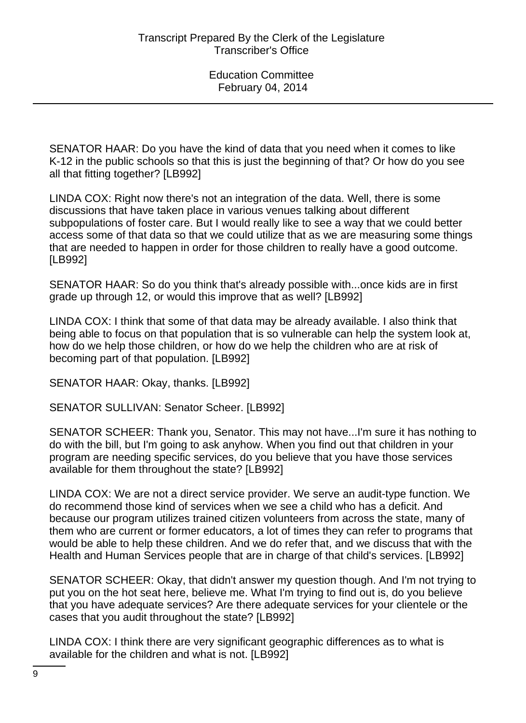SENATOR HAAR: Do you have the kind of data that you need when it comes to like K-12 in the public schools so that this is just the beginning of that? Or how do you see all that fitting together? [LB992]

LINDA COX: Right now there's not an integration of the data. Well, there is some discussions that have taken place in various venues talking about different subpopulations of foster care. But I would really like to see a way that we could better access some of that data so that we could utilize that as we are measuring some things that are needed to happen in order for those children to really have a good outcome. [LB992]

SENATOR HAAR: So do you think that's already possible with...once kids are in first grade up through 12, or would this improve that as well? [LB992]

LINDA COX: I think that some of that data may be already available. I also think that being able to focus on that population that is so vulnerable can help the system look at, how do we help those children, or how do we help the children who are at risk of becoming part of that population. [LB992]

SENATOR HAAR: Okay, thanks. [LB992]

SENATOR SULLIVAN: Senator Scheer. [LB992]

SENATOR SCHEER: Thank you, Senator. This may not have...I'm sure it has nothing to do with the bill, but I'm going to ask anyhow. When you find out that children in your program are needing specific services, do you believe that you have those services available for them throughout the state? [LB992]

LINDA COX: We are not a direct service provider. We serve an audit-type function. We do recommend those kind of services when we see a child who has a deficit. And because our program utilizes trained citizen volunteers from across the state, many of them who are current or former educators, a lot of times they can refer to programs that would be able to help these children. And we do refer that, and we discuss that with the Health and Human Services people that are in charge of that child's services. [LB992]

SENATOR SCHEER: Okay, that didn't answer my question though. And I'm not trying to put you on the hot seat here, believe me. What I'm trying to find out is, do you believe that you have adequate services? Are there adequate services for your clientele or the cases that you audit throughout the state? [LB992]

LINDA COX: I think there are very significant geographic differences as to what is available for the children and what is not. [LB992]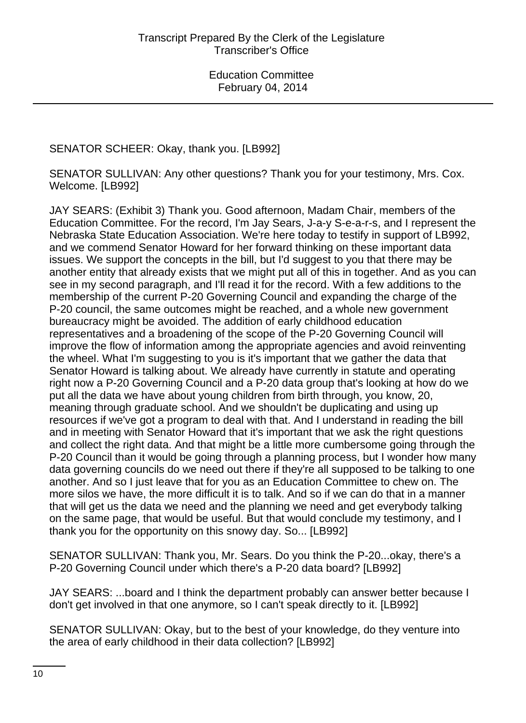# SENATOR SCHEER: Okay, thank you. [LB992]

SENATOR SULLIVAN: Any other questions? Thank you for your testimony, Mrs. Cox. Welcome. [LB992]

JAY SEARS: (Exhibit 3) Thank you. Good afternoon, Madam Chair, members of the Education Committee. For the record, I'm Jay Sears, J-a-y S-e-a-r-s, and I represent the Nebraska State Education Association. We're here today to testify in support of LB992, and we commend Senator Howard for her forward thinking on these important data issues. We support the concepts in the bill, but I'd suggest to you that there may be another entity that already exists that we might put all of this in together. And as you can see in my second paragraph, and I'll read it for the record. With a few additions to the membership of the current P-20 Governing Council and expanding the charge of the P-20 council, the same outcomes might be reached, and a whole new government bureaucracy might be avoided. The addition of early childhood education representatives and a broadening of the scope of the P-20 Governing Council will improve the flow of information among the appropriate agencies and avoid reinventing the wheel. What I'm suggesting to you is it's important that we gather the data that Senator Howard is talking about. We already have currently in statute and operating right now a P-20 Governing Council and a P-20 data group that's looking at how do we put all the data we have about young children from birth through, you know, 20, meaning through graduate school. And we shouldn't be duplicating and using up resources if we've got a program to deal with that. And I understand in reading the bill and in meeting with Senator Howard that it's important that we ask the right questions and collect the right data. And that might be a little more cumbersome going through the P-20 Council than it would be going through a planning process, but I wonder how many data governing councils do we need out there if they're all supposed to be talking to one another. And so I just leave that for you as an Education Committee to chew on. The more silos we have, the more difficult it is to talk. And so if we can do that in a manner that will get us the data we need and the planning we need and get everybody talking on the same page, that would be useful. But that would conclude my testimony, and I thank you for the opportunity on this snowy day. So... [LB992]

SENATOR SULLIVAN: Thank you, Mr. Sears. Do you think the P-20...okay, there's a P-20 Governing Council under which there's a P-20 data board? [LB992]

JAY SEARS: ...board and I think the department probably can answer better because I don't get involved in that one anymore, so I can't speak directly to it. [LB992]

SENATOR SULLIVAN: Okay, but to the best of your knowledge, do they venture into the area of early childhood in their data collection? [LB992]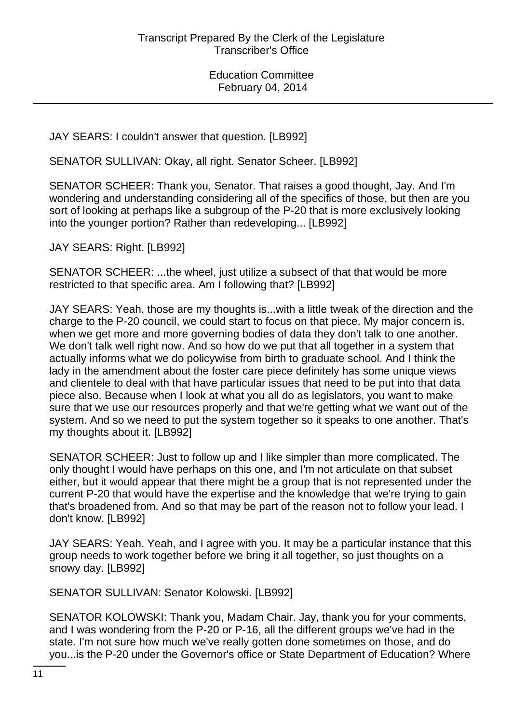JAY SEARS: I couldn't answer that question. [LB992]

SENATOR SULLIVAN: Okay, all right. Senator Scheer. [LB992]

SENATOR SCHEER: Thank you, Senator. That raises a good thought, Jay. And I'm wondering and understanding considering all of the specifics of those, but then are you sort of looking at perhaps like a subgroup of the P-20 that is more exclusively looking into the younger portion? Rather than redeveloping... [LB992]

JAY SEARS: Right. [LB992]

SENATOR SCHEER: ...the wheel, just utilize a subsect of that that would be more restricted to that specific area. Am I following that? [LB992]

JAY SEARS: Yeah, those are my thoughts is...with a little tweak of the direction and the charge to the P-20 council, we could start to focus on that piece. My major concern is, when we get more and more governing bodies of data they don't talk to one another. We don't talk well right now. And so how do we put that all together in a system that actually informs what we do policywise from birth to graduate school. And I think the lady in the amendment about the foster care piece definitely has some unique views and clientele to deal with that have particular issues that need to be put into that data piece also. Because when I look at what you all do as legislators, you want to make sure that we use our resources properly and that we're getting what we want out of the system. And so we need to put the system together so it speaks to one another. That's my thoughts about it. [LB992]

SENATOR SCHEER: Just to follow up and I like simpler than more complicated. The only thought I would have perhaps on this one, and I'm not articulate on that subset either, but it would appear that there might be a group that is not represented under the current P-20 that would have the expertise and the knowledge that we're trying to gain that's broadened from. And so that may be part of the reason not to follow your lead. I don't know. [LB992]

JAY SEARS: Yeah. Yeah, and I agree with you. It may be a particular instance that this group needs to work together before we bring it all together, so just thoughts on a snowy day. [LB992]

SENATOR SULLIVAN: Senator Kolowski. [LB992]

SENATOR KOLOWSKI: Thank you, Madam Chair. Jay, thank you for your comments, and I was wondering from the P-20 or P-16, all the different groups we've had in the state. I'm not sure how much we've really gotten done sometimes on those, and do you...is the P-20 under the Governor's office or State Department of Education? Where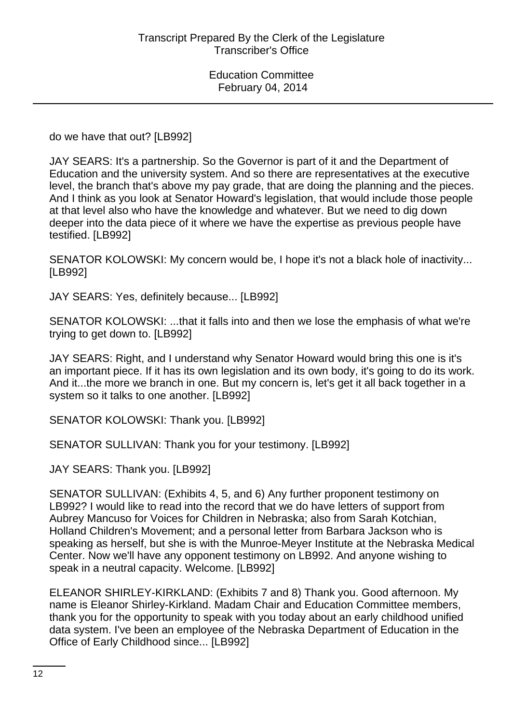do we have that out? [LB992]

JAY SEARS: It's a partnership. So the Governor is part of it and the Department of Education and the university system. And so there are representatives at the executive level, the branch that's above my pay grade, that are doing the planning and the pieces. And I think as you look at Senator Howard's legislation, that would include those people at that level also who have the knowledge and whatever. But we need to dig down deeper into the data piece of it where we have the expertise as previous people have testified. [LB992]

SENATOR KOLOWSKI: My concern would be, I hope it's not a black hole of inactivity... [LB992]

JAY SEARS: Yes, definitely because... [LB992]

SENATOR KOLOWSKI: ...that it falls into and then we lose the emphasis of what we're trying to get down to. [LB992]

JAY SEARS: Right, and I understand why Senator Howard would bring this one is it's an important piece. If it has its own legislation and its own body, it's going to do its work. And it...the more we branch in one. But my concern is, let's get it all back together in a system so it talks to one another. [LB992]

SENATOR KOLOWSKI: Thank you. [LB992]

SENATOR SULLIVAN: Thank you for your testimony. [LB992]

JAY SEARS: Thank you. [LB992]

SENATOR SULLIVAN: (Exhibits 4, 5, and 6) Any further proponent testimony on LB992? I would like to read into the record that we do have letters of support from Aubrey Mancuso for Voices for Children in Nebraska; also from Sarah Kotchian, Holland Children's Movement; and a personal letter from Barbara Jackson who is speaking as herself, but she is with the Munroe-Meyer Institute at the Nebraska Medical Center. Now we'll have any opponent testimony on LB992. And anyone wishing to speak in a neutral capacity. Welcome. [LB992]

ELEANOR SHIRLEY-KIRKLAND: (Exhibits 7 and 8) Thank you. Good afternoon. My name is Eleanor Shirley-Kirkland. Madam Chair and Education Committee members, thank you for the opportunity to speak with you today about an early childhood unified data system. I've been an employee of the Nebraska Department of Education in the Office of Early Childhood since... [LB992]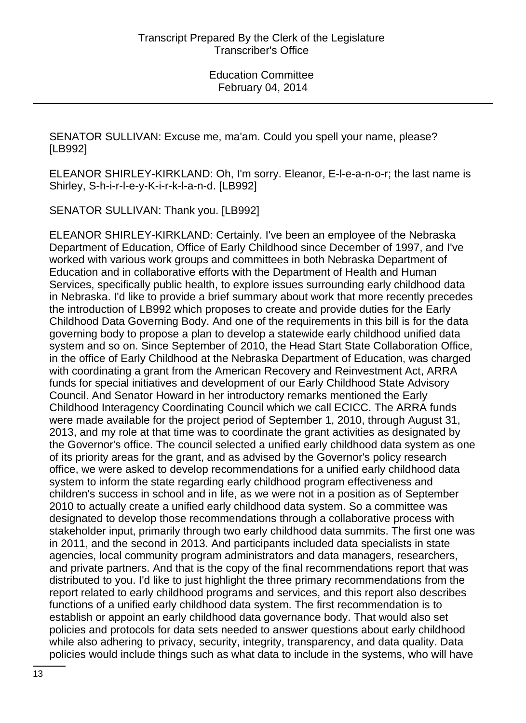SENATOR SULLIVAN: Excuse me, ma'am. Could you spell your name, please? [LB992]

ELEANOR SHIRLEY-KIRKLAND: Oh, I'm sorry. Eleanor, E-l-e-a-n-o-r; the last name is Shirley, S-h-i-r-l-e-y-K-i-r-k-l-a-n-d. [LB992]

SENATOR SULLIVAN: Thank you. [LB992]

ELEANOR SHIRLEY-KIRKLAND: Certainly. I've been an employee of the Nebraska Department of Education, Office of Early Childhood since December of 1997, and I've worked with various work groups and committees in both Nebraska Department of Education and in collaborative efforts with the Department of Health and Human Services, specifically public health, to explore issues surrounding early childhood data in Nebraska. I'd like to provide a brief summary about work that more recently precedes the introduction of LB992 which proposes to create and provide duties for the Early Childhood Data Governing Body. And one of the requirements in this bill is for the data governing body to propose a plan to develop a statewide early childhood unified data system and so on. Since September of 2010, the Head Start State Collaboration Office, in the office of Early Childhood at the Nebraska Department of Education, was charged with coordinating a grant from the American Recovery and Reinvestment Act, ARRA funds for special initiatives and development of our Early Childhood State Advisory Council. And Senator Howard in her introductory remarks mentioned the Early Childhood Interagency Coordinating Council which we call ECICC. The ARRA funds were made available for the project period of September 1, 2010, through August 31, 2013, and my role at that time was to coordinate the grant activities as designated by the Governor's office. The council selected a unified early childhood data system as one of its priority areas for the grant, and as advised by the Governor's policy research office, we were asked to develop recommendations for a unified early childhood data system to inform the state regarding early childhood program effectiveness and children's success in school and in life, as we were not in a position as of September 2010 to actually create a unified early childhood data system. So a committee was designated to develop those recommendations through a collaborative process with stakeholder input, primarily through two early childhood data summits. The first one was in 2011, and the second in 2013. And participants included data specialists in state agencies, local community program administrators and data managers, researchers, and private partners. And that is the copy of the final recommendations report that was distributed to you. I'd like to just highlight the three primary recommendations from the report related to early childhood programs and services, and this report also describes functions of a unified early childhood data system. The first recommendation is to establish or appoint an early childhood data governance body. That would also set policies and protocols for data sets needed to answer questions about early childhood while also adhering to privacy, security, integrity, transparency, and data quality. Data policies would include things such as what data to include in the systems, who will have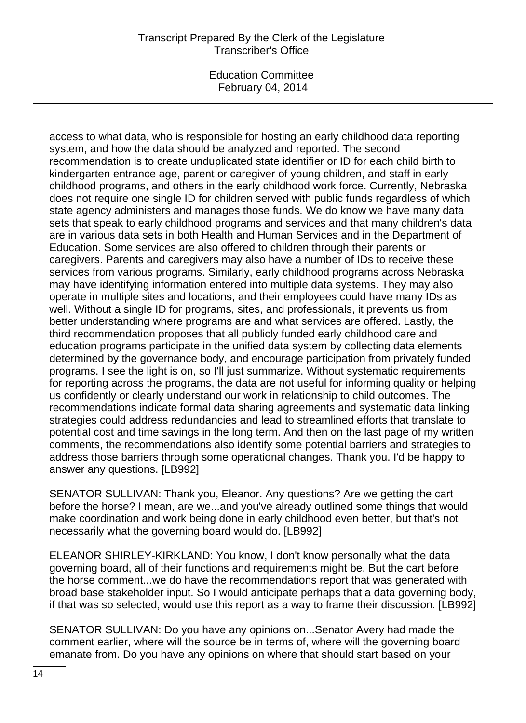access to what data, who is responsible for hosting an early childhood data reporting system, and how the data should be analyzed and reported. The second recommendation is to create unduplicated state identifier or ID for each child birth to kindergarten entrance age, parent or caregiver of young children, and staff in early childhood programs, and others in the early childhood work force. Currently, Nebraska does not require one single ID for children served with public funds regardless of which state agency administers and manages those funds. We do know we have many data sets that speak to early childhood programs and services and that many children's data are in various data sets in both Health and Human Services and in the Department of Education. Some services are also offered to children through their parents or caregivers. Parents and caregivers may also have a number of IDs to receive these services from various programs. Similarly, early childhood programs across Nebraska may have identifying information entered into multiple data systems. They may also operate in multiple sites and locations, and their employees could have many IDs as well. Without a single ID for programs, sites, and professionals, it prevents us from better understanding where programs are and what services are offered. Lastly, the third recommendation proposes that all publicly funded early childhood care and education programs participate in the unified data system by collecting data elements determined by the governance body, and encourage participation from privately funded programs. I see the light is on, so I'll just summarize. Without systematic requirements for reporting across the programs, the data are not useful for informing quality or helping us confidently or clearly understand our work in relationship to child outcomes. The recommendations indicate formal data sharing agreements and systematic data linking strategies could address redundancies and lead to streamlined efforts that translate to potential cost and time savings in the long term. And then on the last page of my written comments, the recommendations also identify some potential barriers and strategies to address those barriers through some operational changes. Thank you. I'd be happy to answer any questions. [LB992]

SENATOR SULLIVAN: Thank you, Eleanor. Any questions? Are we getting the cart before the horse? I mean, are we...and you've already outlined some things that would make coordination and work being done in early childhood even better, but that's not necessarily what the governing board would do. [LB992]

ELEANOR SHIRLEY-KIRKLAND: You know, I don't know personally what the data governing board, all of their functions and requirements might be. But the cart before the horse comment...we do have the recommendations report that was generated with broad base stakeholder input. So I would anticipate perhaps that a data governing body, if that was so selected, would use this report as a way to frame their discussion. [LB992]

SENATOR SULLIVAN: Do you have any opinions on...Senator Avery had made the comment earlier, where will the source be in terms of, where will the governing board emanate from. Do you have any opinions on where that should start based on your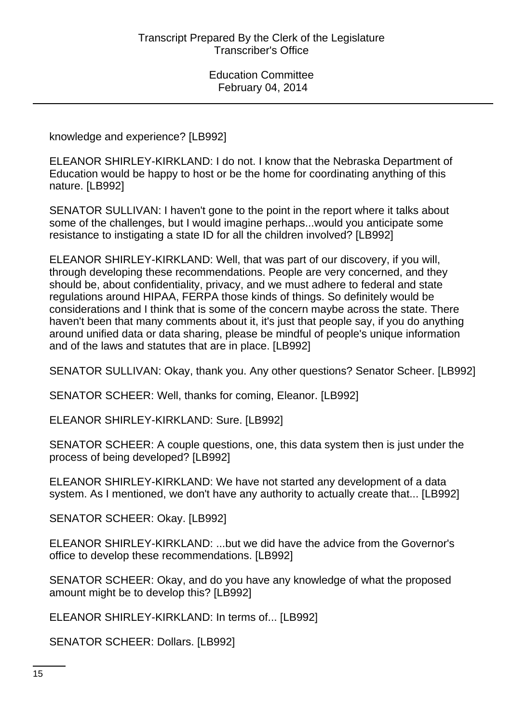knowledge and experience? [LB992]

ELEANOR SHIRLEY-KIRKLAND: I do not. I know that the Nebraska Department of Education would be happy to host or be the home for coordinating anything of this nature. [LB992]

SENATOR SULLIVAN: I haven't gone to the point in the report where it talks about some of the challenges, but I would imagine perhaps...would you anticipate some resistance to instigating a state ID for all the children involved? [LB992]

ELEANOR SHIRLEY-KIRKLAND: Well, that was part of our discovery, if you will, through developing these recommendations. People are very concerned, and they should be, about confidentiality, privacy, and we must adhere to federal and state regulations around HIPAA, FERPA those kinds of things. So definitely would be considerations and I think that is some of the concern maybe across the state. There haven't been that many comments about it, it's just that people say, if you do anything around unified data or data sharing, please be mindful of people's unique information and of the laws and statutes that are in place. [LB992]

SENATOR SULLIVAN: Okay, thank you. Any other questions? Senator Scheer. [LB992]

SENATOR SCHEER: Well, thanks for coming, Eleanor. [LB992]

ELEANOR SHIRLEY-KIRKLAND: Sure. [LB992]

SENATOR SCHEER: A couple questions, one, this data system then is just under the process of being developed? [LB992]

ELEANOR SHIRLEY-KIRKLAND: We have not started any development of a data system. As I mentioned, we don't have any authority to actually create that... [LB992]

SENATOR SCHEER: Okay. [LB992]

ELEANOR SHIRLEY-KIRKLAND: ...but we did have the advice from the Governor's office to develop these recommendations. [LB992]

SENATOR SCHEER: Okay, and do you have any knowledge of what the proposed amount might be to develop this? [LB992]

ELEANOR SHIRLEY-KIRKLAND: In terms of... [LB992]

SENATOR SCHEER: Dollars. [LB992]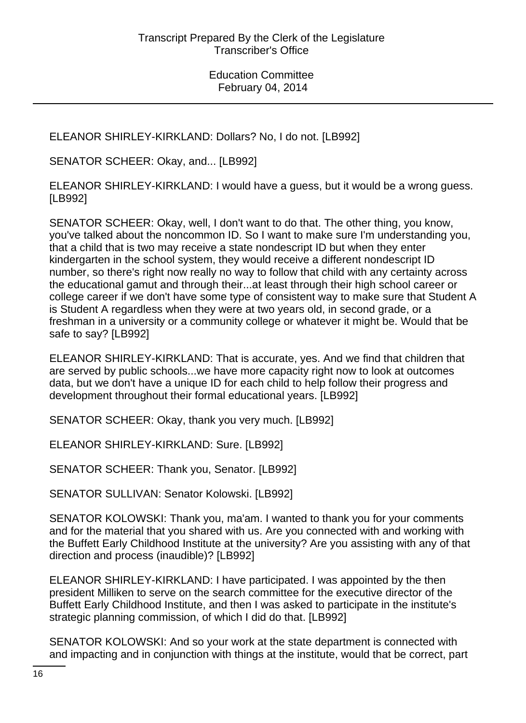ELEANOR SHIRLEY-KIRKLAND: Dollars? No, I do not. [LB992]

SENATOR SCHEER: Okay, and... [LB992]

ELEANOR SHIRLEY-KIRKLAND: I would have a guess, but it would be a wrong guess. [LB992]

SENATOR SCHEER: Okay, well, I don't want to do that. The other thing, you know, you've talked about the noncommon ID. So I want to make sure I'm understanding you, that a child that is two may receive a state nondescript ID but when they enter kindergarten in the school system, they would receive a different nondescript ID number, so there's right now really no way to follow that child with any certainty across the educational gamut and through their...at least through their high school career or college career if we don't have some type of consistent way to make sure that Student A is Student A regardless when they were at two years old, in second grade, or a freshman in a university or a community college or whatever it might be. Would that be safe to say? [LB992]

ELEANOR SHIRLEY-KIRKLAND: That is accurate, yes. And we find that children that are served by public schools...we have more capacity right now to look at outcomes data, but we don't have a unique ID for each child to help follow their progress and development throughout their formal educational years. [LB992]

SENATOR SCHEER: Okay, thank you very much. [LB992]

ELEANOR SHIRLEY-KIRKLAND: Sure. [LB992]

SENATOR SCHEER: Thank you, Senator. [LB992]

SENATOR SULLIVAN: Senator Kolowski. [LB992]

SENATOR KOLOWSKI: Thank you, ma'am. I wanted to thank you for your comments and for the material that you shared with us. Are you connected with and working with the Buffett Early Childhood Institute at the university? Are you assisting with any of that direction and process (inaudible)? [LB992]

ELEANOR SHIRLEY-KIRKLAND: I have participated. I was appointed by the then president Milliken to serve on the search committee for the executive director of the Buffett Early Childhood Institute, and then I was asked to participate in the institute's strategic planning commission, of which I did do that. [LB992]

SENATOR KOLOWSKI: And so your work at the state department is connected with and impacting and in conjunction with things at the institute, would that be correct, part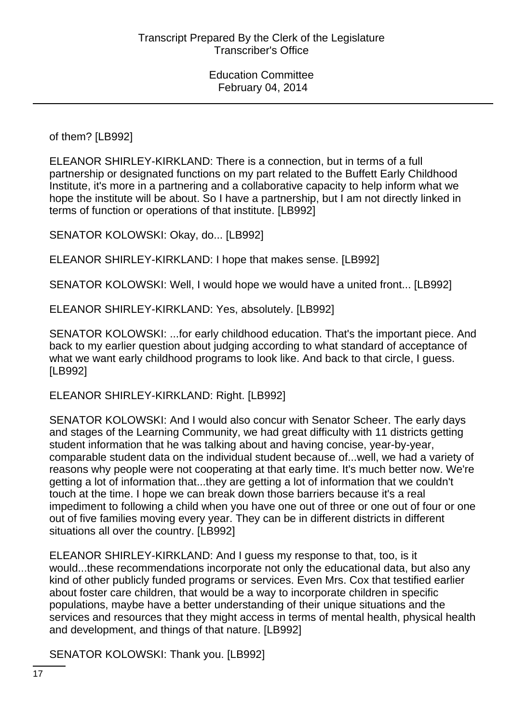of them? [LB992]

ELEANOR SHIRLEY-KIRKLAND: There is a connection, but in terms of a full partnership or designated functions on my part related to the Buffett Early Childhood Institute, it's more in a partnering and a collaborative capacity to help inform what we hope the institute will be about. So I have a partnership, but I am not directly linked in terms of function or operations of that institute. [LB992]

SENATOR KOLOWSKI: Okay, do... [LB992]

ELEANOR SHIRLEY-KIRKLAND: I hope that makes sense. [LB992]

SENATOR KOLOWSKI: Well, I would hope we would have a united front... [LB992]

ELEANOR SHIRLEY-KIRKLAND: Yes, absolutely. [LB992]

SENATOR KOLOWSKI: ...for early childhood education. That's the important piece. And back to my earlier question about judging according to what standard of acceptance of what we want early childhood programs to look like. And back to that circle, I guess. [LB992]

ELEANOR SHIRLEY-KIRKLAND: Right. [LB992]

SENATOR KOLOWSKI: And I would also concur with Senator Scheer. The early days and stages of the Learning Community, we had great difficulty with 11 districts getting student information that he was talking about and having concise, year-by-year, comparable student data on the individual student because of...well, we had a variety of reasons why people were not cooperating at that early time. It's much better now. We're getting a lot of information that...they are getting a lot of information that we couldn't touch at the time. I hope we can break down those barriers because it's a real impediment to following a child when you have one out of three or one out of four or one out of five families moving every year. They can be in different districts in different situations all over the country. [LB992]

ELEANOR SHIRLEY-KIRKLAND: And I guess my response to that, too, is it would...these recommendations incorporate not only the educational data, but also any kind of other publicly funded programs or services. Even Mrs. Cox that testified earlier about foster care children, that would be a way to incorporate children in specific populations, maybe have a better understanding of their unique situations and the services and resources that they might access in terms of mental health, physical health and development, and things of that nature. [LB992]

SENATOR KOLOWSKI: Thank you. [LB992]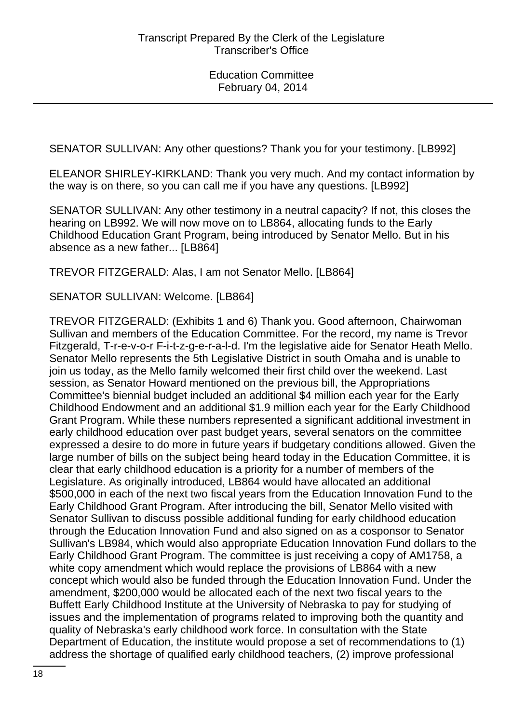SENATOR SULLIVAN: Any other questions? Thank you for your testimony. [LB992]

ELEANOR SHIRLEY-KIRKLAND: Thank you very much. And my contact information by the way is on there, so you can call me if you have any questions. [LB992]

SENATOR SULLIVAN: Any other testimony in a neutral capacity? If not, this closes the hearing on LB992. We will now move on to LB864, allocating funds to the Early Childhood Education Grant Program, being introduced by Senator Mello. But in his absence as a new father... [LB864]

TREVOR FITZGERALD: Alas, I am not Senator Mello. [LB864]

SENATOR SULLIVAN: Welcome. [LB864]

TREVOR FITZGERALD: (Exhibits 1 and 6) Thank you. Good afternoon, Chairwoman Sullivan and members of the Education Committee. For the record, my name is Trevor Fitzgerald, T-r-e-v-o-r F-i-t-z-g-e-r-a-l-d. I'm the legislative aide for Senator Heath Mello. Senator Mello represents the 5th Legislative District in south Omaha and is unable to join us today, as the Mello family welcomed their first child over the weekend. Last session, as Senator Howard mentioned on the previous bill, the Appropriations Committee's biennial budget included an additional \$4 million each year for the Early Childhood Endowment and an additional \$1.9 million each year for the Early Childhood Grant Program. While these numbers represented a significant additional investment in early childhood education over past budget years, several senators on the committee expressed a desire to do more in future years if budgetary conditions allowed. Given the large number of bills on the subject being heard today in the Education Committee, it is clear that early childhood education is a priority for a number of members of the Legislature. As originally introduced, LB864 would have allocated an additional \$500,000 in each of the next two fiscal years from the Education Innovation Fund to the Early Childhood Grant Program. After introducing the bill, Senator Mello visited with Senator Sullivan to discuss possible additional funding for early childhood education through the Education Innovation Fund and also signed on as a cosponsor to Senator Sullivan's LB984, which would also appropriate Education Innovation Fund dollars to the Early Childhood Grant Program. The committee is just receiving a copy of AM1758, a white copy amendment which would replace the provisions of LB864 with a new concept which would also be funded through the Education Innovation Fund. Under the amendment, \$200,000 would be allocated each of the next two fiscal years to the Buffett Early Childhood Institute at the University of Nebraska to pay for studying of issues and the implementation of programs related to improving both the quantity and quality of Nebraska's early childhood work force. In consultation with the State Department of Education, the institute would propose a set of recommendations to (1) address the shortage of qualified early childhood teachers, (2) improve professional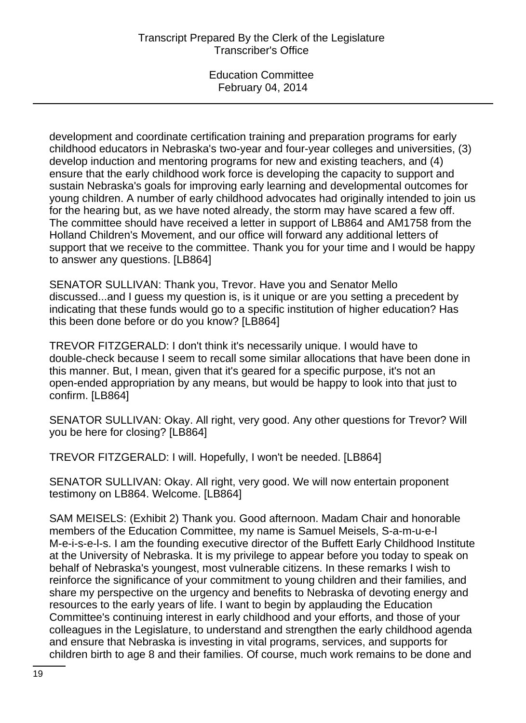development and coordinate certification training and preparation programs for early childhood educators in Nebraska's two-year and four-year colleges and universities, (3) develop induction and mentoring programs for new and existing teachers, and (4) ensure that the early childhood work force is developing the capacity to support and sustain Nebraska's goals for improving early learning and developmental outcomes for young children. A number of early childhood advocates had originally intended to join us for the hearing but, as we have noted already, the storm may have scared a few off. The committee should have received a letter in support of LB864 and AM1758 from the Holland Children's Movement, and our office will forward any additional letters of support that we receive to the committee. Thank you for your time and I would be happy to answer any questions. [LB864]

SENATOR SULLIVAN: Thank you, Trevor. Have you and Senator Mello discussed...and I guess my question is, is it unique or are you setting a precedent by indicating that these funds would go to a specific institution of higher education? Has this been done before or do you know? [LB864]

TREVOR FITZGERALD: I don't think it's necessarily unique. I would have to double-check because I seem to recall some similar allocations that have been done in this manner. But, I mean, given that it's geared for a specific purpose, it's not an open-ended appropriation by any means, but would be happy to look into that just to confirm. [LB864]

SENATOR SULLIVAN: Okay. All right, very good. Any other questions for Trevor? Will you be here for closing? [LB864]

TREVOR FITZGERALD: I will. Hopefully, I won't be needed. [LB864]

SENATOR SULLIVAN: Okay. All right, very good. We will now entertain proponent testimony on LB864. Welcome. [LB864]

SAM MEISELS: (Exhibit 2) Thank you. Good afternoon. Madam Chair and honorable members of the Education Committee, my name is Samuel Meisels, S-a-m-u-e-l M-e-i-s-e-l-s. I am the founding executive director of the Buffett Early Childhood Institute at the University of Nebraska. It is my privilege to appear before you today to speak on behalf of Nebraska's youngest, most vulnerable citizens. In these remarks I wish to reinforce the significance of your commitment to young children and their families, and share my perspective on the urgency and benefits to Nebraska of devoting energy and resources to the early years of life. I want to begin by applauding the Education Committee's continuing interest in early childhood and your efforts, and those of your colleagues in the Legislature, to understand and strengthen the early childhood agenda and ensure that Nebraska is investing in vital programs, services, and supports for children birth to age 8 and their families. Of course, much work remains to be done and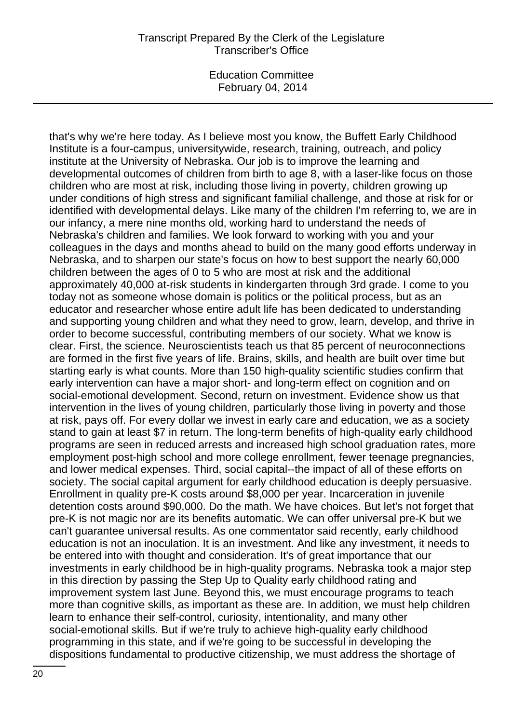#### Transcript Prepared By the Clerk of the Legislature Transcriber's Office

Education Committee February 04, 2014

that's why we're here today. As I believe most you know, the Buffett Early Childhood Institute is a four-campus, universitywide, research, training, outreach, and policy institute at the University of Nebraska. Our job is to improve the learning and developmental outcomes of children from birth to age 8, with a laser-like focus on those children who are most at risk, including those living in poverty, children growing up under conditions of high stress and significant familial challenge, and those at risk for or identified with developmental delays. Like many of the children I'm referring to, we are in our infancy, a mere nine months old, working hard to understand the needs of Nebraska's children and families. We look forward to working with you and your colleagues in the days and months ahead to build on the many good efforts underway in Nebraska, and to sharpen our state's focus on how to best support the nearly 60,000 children between the ages of 0 to 5 who are most at risk and the additional approximately 40,000 at-risk students in kindergarten through 3rd grade. I come to you today not as someone whose domain is politics or the political process, but as an educator and researcher whose entire adult life has been dedicated to understanding and supporting young children and what they need to grow, learn, develop, and thrive in order to become successful, contributing members of our society. What we know is clear. First, the science. Neuroscientists teach us that 85 percent of neuroconnections are formed in the first five years of life. Brains, skills, and health are built over time but starting early is what counts. More than 150 high-quality scientific studies confirm that early intervention can have a major short- and long-term effect on cognition and on social-emotional development. Second, return on investment. Evidence show us that intervention in the lives of young children, particularly those living in poverty and those at risk, pays off. For every dollar we invest in early care and education, we as a society stand to gain at least \$7 in return. The long-term benefits of high-quality early childhood programs are seen in reduced arrests and increased high school graduation rates, more employment post-high school and more college enrollment, fewer teenage pregnancies, and lower medical expenses. Third, social capital--the impact of all of these efforts on society. The social capital argument for early childhood education is deeply persuasive. Enrollment in quality pre-K costs around \$8,000 per year. Incarceration in juvenile detention costs around \$90,000. Do the math. We have choices. But let's not forget that pre-K is not magic nor are its benefits automatic. We can offer universal pre-K but we can't guarantee universal results. As one commentator said recently, early childhood education is not an inoculation. It is an investment. And like any investment, it needs to be entered into with thought and consideration. It's of great importance that our investments in early childhood be in high-quality programs. Nebraska took a major step in this direction by passing the Step Up to Quality early childhood rating and improvement system last June. Beyond this, we must encourage programs to teach more than cognitive skills, as important as these are. In addition, we must help children learn to enhance their self-control, curiosity, intentionality, and many other social-emotional skills. But if we're truly to achieve high-quality early childhood programming in this state, and if we're going to be successful in developing the dispositions fundamental to productive citizenship, we must address the shortage of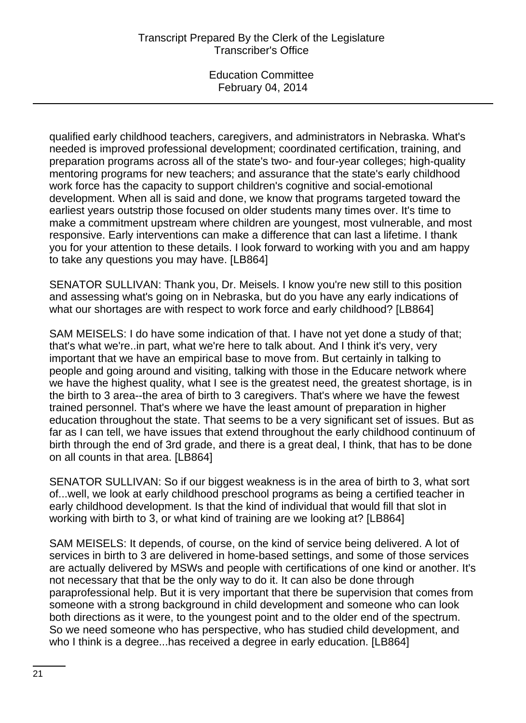qualified early childhood teachers, caregivers, and administrators in Nebraska. What's needed is improved professional development; coordinated certification, training, and preparation programs across all of the state's two- and four-year colleges; high-quality mentoring programs for new teachers; and assurance that the state's early childhood work force has the capacity to support children's cognitive and social-emotional development. When all is said and done, we know that programs targeted toward the earliest years outstrip those focused on older students many times over. It's time to make a commitment upstream where children are youngest, most vulnerable, and most responsive. Early interventions can make a difference that can last a lifetime. I thank you for your attention to these details. I look forward to working with you and am happy to take any questions you may have. [LB864]

SENATOR SULLIVAN: Thank you, Dr. Meisels. I know you're new still to this position and assessing what's going on in Nebraska, but do you have any early indications of what our shortages are with respect to work force and early childhood? [LB864]

SAM MEISELS: I do have some indication of that. I have not yet done a study of that; that's what we're..in part, what we're here to talk about. And I think it's very, very important that we have an empirical base to move from. But certainly in talking to people and going around and visiting, talking with those in the Educare network where we have the highest quality, what I see is the greatest need, the greatest shortage, is in the birth to 3 area--the area of birth to 3 caregivers. That's where we have the fewest trained personnel. That's where we have the least amount of preparation in higher education throughout the state. That seems to be a very significant set of issues. But as far as I can tell, we have issues that extend throughout the early childhood continuum of birth through the end of 3rd grade, and there is a great deal, I think, that has to be done on all counts in that area. [LB864]

SENATOR SULLIVAN: So if our biggest weakness is in the area of birth to 3, what sort of...well, we look at early childhood preschool programs as being a certified teacher in early childhood development. Is that the kind of individual that would fill that slot in working with birth to 3, or what kind of training are we looking at? [LB864]

SAM MEISELS: It depends, of course, on the kind of service being delivered. A lot of services in birth to 3 are delivered in home-based settings, and some of those services are actually delivered by MSWs and people with certifications of one kind or another. It's not necessary that that be the only way to do it. It can also be done through paraprofessional help. But it is very important that there be supervision that comes from someone with a strong background in child development and someone who can look both directions as it were, to the youngest point and to the older end of the spectrum. So we need someone who has perspective, who has studied child development, and who I think is a degree...has received a degree in early education. [LB864]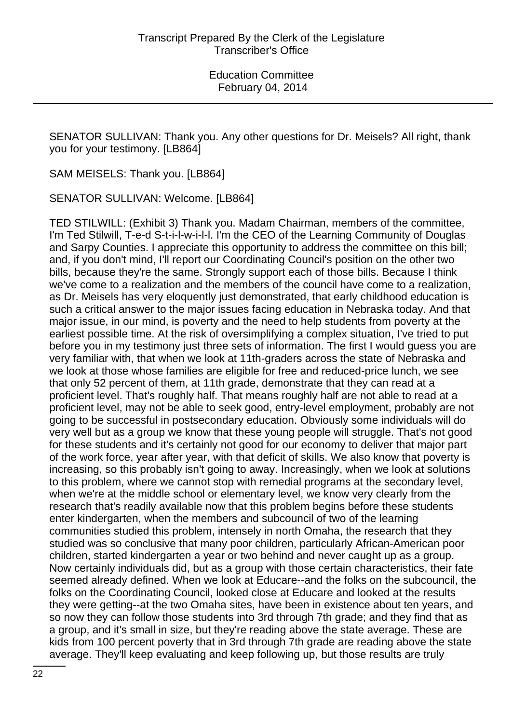SENATOR SULLIVAN: Thank you. Any other questions for Dr. Meisels? All right, thank you for your testimony. [LB864]

SAM MEISELS: Thank you. [LB864]

SENATOR SULLIVAN: Welcome. [LB864]

TED STILWILL: (Exhibit 3) Thank you. Madam Chairman, members of the committee, I'm Ted Stilwill, T-e-d S-t-i-l-w-i-l-l. I'm the CEO of the Learning Community of Douglas and Sarpy Counties. I appreciate this opportunity to address the committee on this bill; and, if you don't mind, I'll report our Coordinating Council's position on the other two bills, because they're the same. Strongly support each of those bills. Because I think we've come to a realization and the members of the council have come to a realization, as Dr. Meisels has very eloquently just demonstrated, that early childhood education is such a critical answer to the major issues facing education in Nebraska today. And that major issue, in our mind, is poverty and the need to help students from poverty at the earliest possible time. At the risk of oversimplifying a complex situation, I've tried to put before you in my testimony just three sets of information. The first I would guess you are very familiar with, that when we look at 11th-graders across the state of Nebraska and we look at those whose families are eligible for free and reduced-price lunch, we see that only 52 percent of them, at 11th grade, demonstrate that they can read at a proficient level. That's roughly half. That means roughly half are not able to read at a proficient level, may not be able to seek good, entry-level employment, probably are not going to be successful in postsecondary education. Obviously some individuals will do very well but as a group we know that these young people will struggle. That's not good for these students and it's certainly not good for our economy to deliver that major part of the work force, year after year, with that deficit of skills. We also know that poverty is increasing, so this probably isn't going to away. Increasingly, when we look at solutions to this problem, where we cannot stop with remedial programs at the secondary level, when we're at the middle school or elementary level, we know very clearly from the research that's readily available now that this problem begins before these students enter kindergarten, when the members and subcouncil of two of the learning communities studied this problem, intensely in north Omaha, the research that they studied was so conclusive that many poor children, particularly African-American poor children, started kindergarten a year or two behind and never caught up as a group. Now certainly individuals did, but as a group with those certain characteristics, their fate seemed already defined. When we look at Educare--and the folks on the subcouncil, the folks on the Coordinating Council, looked close at Educare and looked at the results they were getting--at the two Omaha sites, have been in existence about ten years, and so now they can follow those students into 3rd through 7th grade; and they find that as a group, and it's small in size, but they're reading above the state average. These are kids from 100 percent poverty that in 3rd through 7th grade are reading above the state average. They'll keep evaluating and keep following up, but those results are truly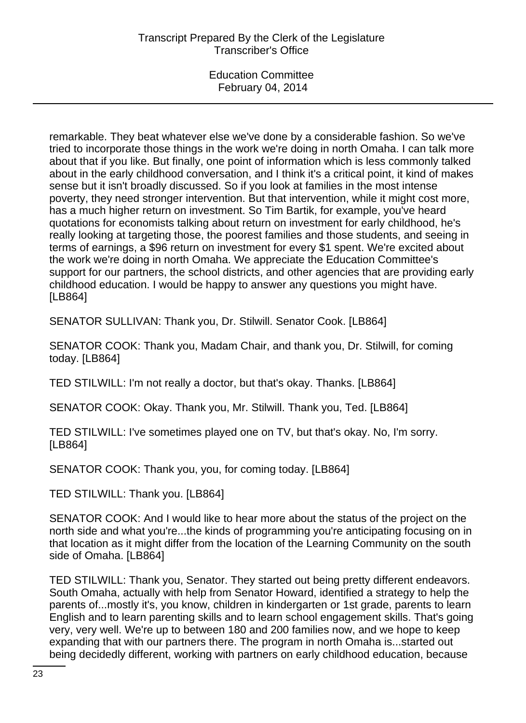remarkable. They beat whatever else we've done by a considerable fashion. So we've tried to incorporate those things in the work we're doing in north Omaha. I can talk more about that if you like. But finally, one point of information which is less commonly talked about in the early childhood conversation, and I think it's a critical point, it kind of makes sense but it isn't broadly discussed. So if you look at families in the most intense poverty, they need stronger intervention. But that intervention, while it might cost more, has a much higher return on investment. So Tim Bartik, for example, you've heard quotations for economists talking about return on investment for early childhood, he's really looking at targeting those, the poorest families and those students, and seeing in terms of earnings, a \$96 return on investment for every \$1 spent. We're excited about the work we're doing in north Omaha. We appreciate the Education Committee's support for our partners, the school districts, and other agencies that are providing early childhood education. I would be happy to answer any questions you might have. [LB864]

SENATOR SULLIVAN: Thank you, Dr. Stilwill. Senator Cook. [LB864]

SENATOR COOK: Thank you, Madam Chair, and thank you, Dr. Stilwill, for coming today. [LB864]

TED STILWILL: I'm not really a doctor, but that's okay. Thanks. [LB864]

SENATOR COOK: Okay. Thank you, Mr. Stilwill. Thank you, Ted. [LB864]

TED STILWILL: I've sometimes played one on TV, but that's okay. No, I'm sorry. [LB864]

SENATOR COOK: Thank you, you, for coming today. [LB864]

TED STILWILL: Thank you. [LB864]

SENATOR COOK: And I would like to hear more about the status of the project on the north side and what you're...the kinds of programming you're anticipating focusing on in that location as it might differ from the location of the Learning Community on the south side of Omaha. [LB864]

TED STILWILL: Thank you, Senator. They started out being pretty different endeavors. South Omaha, actually with help from Senator Howard, identified a strategy to help the parents of...mostly it's, you know, children in kindergarten or 1st grade, parents to learn English and to learn parenting skills and to learn school engagement skills. That's going very, very well. We're up to between 180 and 200 families now, and we hope to keep expanding that with our partners there. The program in north Omaha is...started out being decidedly different, working with partners on early childhood education, because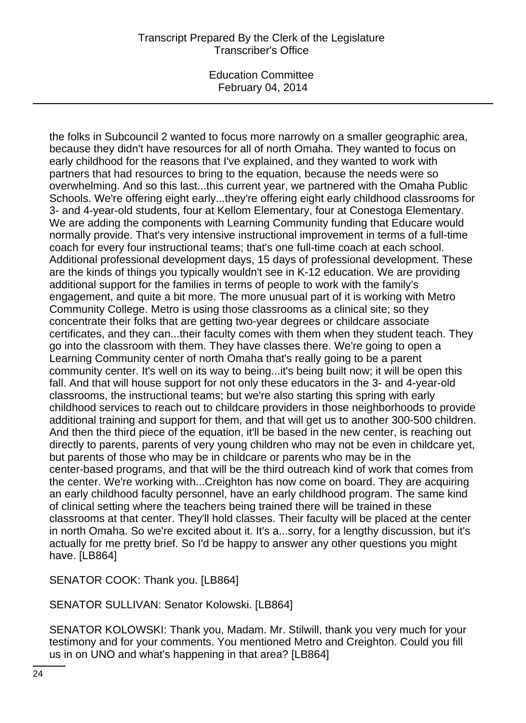the folks in Subcouncil 2 wanted to focus more narrowly on a smaller geographic area, because they didn't have resources for all of north Omaha. They wanted to focus on early childhood for the reasons that I've explained, and they wanted to work with partners that had resources to bring to the equation, because the needs were so overwhelming. And so this last...this current year, we partnered with the Omaha Public Schools. We're offering eight early...they're offering eight early childhood classrooms for 3- and 4-year-old students, four at Kellom Elementary, four at Conestoga Elementary. We are adding the components with Learning Community funding that Educare would normally provide. That's very intensive instructional improvement in terms of a full-time coach for every four instructional teams; that's one full-time coach at each school. Additional professional development days, 15 days of professional development. These are the kinds of things you typically wouldn't see in K-12 education. We are providing additional support for the families in terms of people to work with the family's engagement, and quite a bit more. The more unusual part of it is working with Metro Community College. Metro is using those classrooms as a clinical site; so they concentrate their folks that are getting two-year degrees or childcare associate certificates, and they can...their faculty comes with them when they student teach. They go into the classroom with them. They have classes there. We're going to open a Learning Community center of north Omaha that's really going to be a parent community center. It's well on its way to being...it's being built now; it will be open this fall. And that will house support for not only these educators in the 3- and 4-year-old classrooms, the instructional teams; but we're also starting this spring with early childhood services to reach out to childcare providers in those neighborhoods to provide additional training and support for them, and that will get us to another 300-500 children. And then the third piece of the equation, it'll be based in the new center, is reaching out directly to parents, parents of very young children who may not be even in childcare yet, but parents of those who may be in childcare or parents who may be in the center-based programs, and that will be the third outreach kind of work that comes from the center. We're working with...Creighton has now come on board. They are acquiring an early childhood faculty personnel, have an early childhood program. The same kind of clinical setting where the teachers being trained there will be trained in these classrooms at that center. They'll hold classes. Their faculty will be placed at the center in north Omaha. So we're excited about it. It's a...sorry, for a lengthy discussion, but it's actually for me pretty brief. So I'd be happy to answer any other questions you might have. [LB864]

SENATOR COOK: Thank you. [LB864]

SENATOR SULLIVAN: Senator Kolowski. [LB864]

SENATOR KOLOWSKI: Thank you, Madam. Mr. Stilwill, thank you very much for your testimony and for your comments. You mentioned Metro and Creighton. Could you fill us in on UNO and what's happening in that area? [LB864]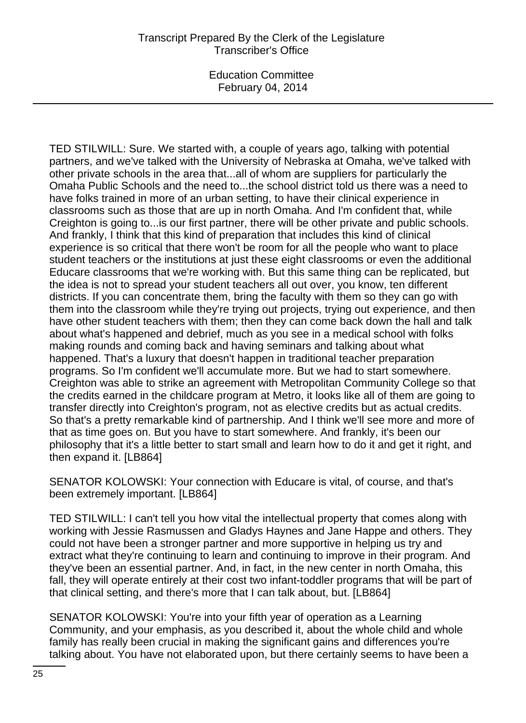TED STILWILL: Sure. We started with, a couple of years ago, talking with potential partners, and we've talked with the University of Nebraska at Omaha, we've talked with other private schools in the area that...all of whom are suppliers for particularly the Omaha Public Schools and the need to...the school district told us there was a need to have folks trained in more of an urban setting, to have their clinical experience in classrooms such as those that are up in north Omaha. And I'm confident that, while Creighton is going to...is our first partner, there will be other private and public schools. And frankly, I think that this kind of preparation that includes this kind of clinical experience is so critical that there won't be room for all the people who want to place student teachers or the institutions at just these eight classrooms or even the additional Educare classrooms that we're working with. But this same thing can be replicated, but the idea is not to spread your student teachers all out over, you know, ten different districts. If you can concentrate them, bring the faculty with them so they can go with them into the classroom while they're trying out projects, trying out experience, and then have other student teachers with them; then they can come back down the hall and talk about what's happened and debrief, much as you see in a medical school with folks making rounds and coming back and having seminars and talking about what happened. That's a luxury that doesn't happen in traditional teacher preparation programs. So I'm confident we'll accumulate more. But we had to start somewhere. Creighton was able to strike an agreement with Metropolitan Community College so that the credits earned in the childcare program at Metro, it looks like all of them are going to transfer directly into Creighton's program, not as elective credits but as actual credits. So that's a pretty remarkable kind of partnership. And I think we'll see more and more of that as time goes on. But you have to start somewhere. And frankly, it's been our philosophy that it's a little better to start small and learn how to do it and get it right, and then expand it. [LB864]

SENATOR KOLOWSKI: Your connection with Educare is vital, of course, and that's been extremely important. [LB864]

TED STILWILL: I can't tell you how vital the intellectual property that comes along with working with Jessie Rasmussen and Gladys Haynes and Jane Happe and others. They could not have been a stronger partner and more supportive in helping us try and extract what they're continuing to learn and continuing to improve in their program. And they've been an essential partner. And, in fact, in the new center in north Omaha, this fall, they will operate entirely at their cost two infant-toddler programs that will be part of that clinical setting, and there's more that I can talk about, but. [LB864]

SENATOR KOLOWSKI: You're into your fifth year of operation as a Learning Community, and your emphasis, as you described it, about the whole child and whole family has really been crucial in making the significant gains and differences you're talking about. You have not elaborated upon, but there certainly seems to have been a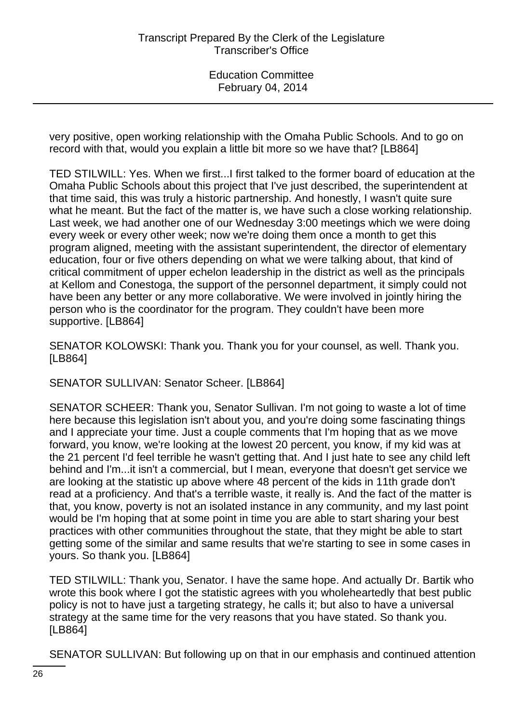very positive, open working relationship with the Omaha Public Schools. And to go on record with that, would you explain a little bit more so we have that? [LB864]

TED STILWILL: Yes. When we first...I first talked to the former board of education at the Omaha Public Schools about this project that I've just described, the superintendent at that time said, this was truly a historic partnership. And honestly, I wasn't quite sure what he meant. But the fact of the matter is, we have such a close working relationship. Last week, we had another one of our Wednesday 3:00 meetings which we were doing every week or every other week; now we're doing them once a month to get this program aligned, meeting with the assistant superintendent, the director of elementary education, four or five others depending on what we were talking about, that kind of critical commitment of upper echelon leadership in the district as well as the principals at Kellom and Conestoga, the support of the personnel department, it simply could not have been any better or any more collaborative. We were involved in jointly hiring the person who is the coordinator for the program. They couldn't have been more supportive. [LB864]

SENATOR KOLOWSKI: Thank you. Thank you for your counsel, as well. Thank you. [LB864]

SENATOR SULLIVAN: Senator Scheer. [LB864]

SENATOR SCHEER: Thank you, Senator Sullivan. I'm not going to waste a lot of time here because this legislation isn't about you, and you're doing some fascinating things and I appreciate your time. Just a couple comments that I'm hoping that as we move forward, you know, we're looking at the lowest 20 percent, you know, if my kid was at the 21 percent I'd feel terrible he wasn't getting that. And I just hate to see any child left behind and I'm...it isn't a commercial, but I mean, everyone that doesn't get service we are looking at the statistic up above where 48 percent of the kids in 11th grade don't read at a proficiency. And that's a terrible waste, it really is. And the fact of the matter is that, you know, poverty is not an isolated instance in any community, and my last point would be I'm hoping that at some point in time you are able to start sharing your best practices with other communities throughout the state, that they might be able to start getting some of the similar and same results that we're starting to see in some cases in yours. So thank you. [LB864]

TED STILWILL: Thank you, Senator. I have the same hope. And actually Dr. Bartik who wrote this book where I got the statistic agrees with you wholeheartedly that best public policy is not to have just a targeting strategy, he calls it; but also to have a universal strategy at the same time for the very reasons that you have stated. So thank you. [LB864]

SENATOR SULLIVAN: But following up on that in our emphasis and continued attention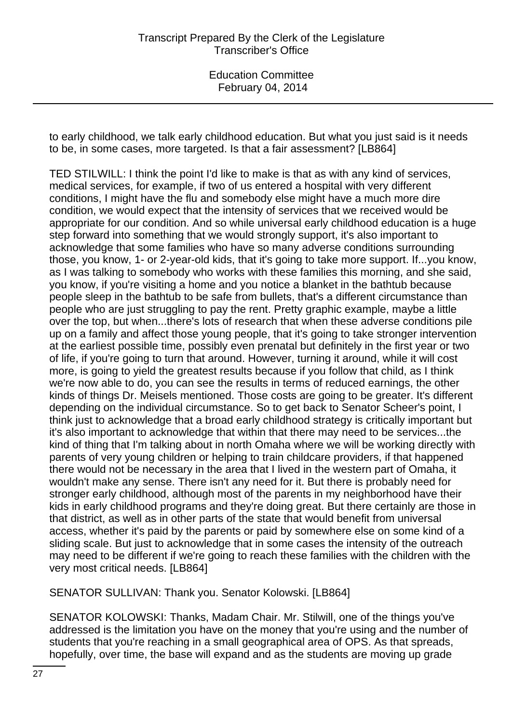to early childhood, we talk early childhood education. But what you just said is it needs to be, in some cases, more targeted. Is that a fair assessment? [LB864]

TED STILWILL: I think the point I'd like to make is that as with any kind of services, medical services, for example, if two of us entered a hospital with very different conditions, I might have the flu and somebody else might have a much more dire condition, we would expect that the intensity of services that we received would be appropriate for our condition. And so while universal early childhood education is a huge step forward into something that we would strongly support, it's also important to acknowledge that some families who have so many adverse conditions surrounding those, you know, 1- or 2-year-old kids, that it's going to take more support. If...you know, as I was talking to somebody who works with these families this morning, and she said, you know, if you're visiting a home and you notice a blanket in the bathtub because people sleep in the bathtub to be safe from bullets, that's a different circumstance than people who are just struggling to pay the rent. Pretty graphic example, maybe a little over the top, but when...there's lots of research that when these adverse conditions pile up on a family and affect those young people, that it's going to take stronger intervention at the earliest possible time, possibly even prenatal but definitely in the first year or two of life, if you're going to turn that around. However, turning it around, while it will cost more, is going to yield the greatest results because if you follow that child, as I think we're now able to do, you can see the results in terms of reduced earnings, the other kinds of things Dr. Meisels mentioned. Those costs are going to be greater. It's different depending on the individual circumstance. So to get back to Senator Scheer's point, I think just to acknowledge that a broad early childhood strategy is critically important but it's also important to acknowledge that within that there may need to be services...the kind of thing that I'm talking about in north Omaha where we will be working directly with parents of very young children or helping to train childcare providers, if that happened there would not be necessary in the area that I lived in the western part of Omaha, it wouldn't make any sense. There isn't any need for it. But there is probably need for stronger early childhood, although most of the parents in my neighborhood have their kids in early childhood programs and they're doing great. But there certainly are those in that district, as well as in other parts of the state that would benefit from universal access, whether it's paid by the parents or paid by somewhere else on some kind of a sliding scale. But just to acknowledge that in some cases the intensity of the outreach may need to be different if we're going to reach these families with the children with the very most critical needs. [LB864]

SENATOR SULLIVAN: Thank you. Senator Kolowski. [LB864]

SENATOR KOLOWSKI: Thanks, Madam Chair. Mr. Stilwill, one of the things you've addressed is the limitation you have on the money that you're using and the number of students that you're reaching in a small geographical area of OPS. As that spreads, hopefully, over time, the base will expand and as the students are moving up grade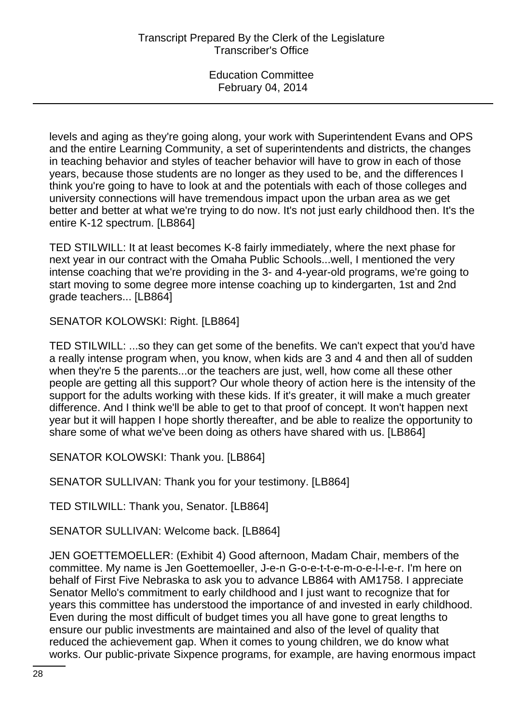levels and aging as they're going along, your work with Superintendent Evans and OPS and the entire Learning Community, a set of superintendents and districts, the changes in teaching behavior and styles of teacher behavior will have to grow in each of those years, because those students are no longer as they used to be, and the differences I think you're going to have to look at and the potentials with each of those colleges and university connections will have tremendous impact upon the urban area as we get better and better at what we're trying to do now. It's not just early childhood then. It's the entire K-12 spectrum. [LB864]

TED STILWILL: It at least becomes K-8 fairly immediately, where the next phase for next year in our contract with the Omaha Public Schools...well, I mentioned the very intense coaching that we're providing in the 3- and 4-year-old programs, we're going to start moving to some degree more intense coaching up to kindergarten, 1st and 2nd grade teachers... [LB864]

SENATOR KOLOWSKI: Right. [LB864]

TED STILWILL: ...so they can get some of the benefits. We can't expect that you'd have a really intense program when, you know, when kids are 3 and 4 and then all of sudden when they're 5 the parents...or the teachers are just, well, how come all these other people are getting all this support? Our whole theory of action here is the intensity of the support for the adults working with these kids. If it's greater, it will make a much greater difference. And I think we'll be able to get to that proof of concept. It won't happen next year but it will happen I hope shortly thereafter, and be able to realize the opportunity to share some of what we've been doing as others have shared with us. [LB864]

SENATOR KOLOWSKI: Thank you. [LB864]

SENATOR SULLIVAN: Thank you for your testimony. [LB864]

TED STILWILL: Thank you, Senator. [LB864]

SENATOR SULLIVAN: Welcome back. [LB864]

JEN GOETTEMOELLER: (Exhibit 4) Good afternoon, Madam Chair, members of the committee. My name is Jen Goettemoeller, J-e-n G-o-e-t-t-e-m-o-e-l-l-e-r. I'm here on behalf of First Five Nebraska to ask you to advance LB864 with AM1758. I appreciate Senator Mello's commitment to early childhood and I just want to recognize that for years this committee has understood the importance of and invested in early childhood. Even during the most difficult of budget times you all have gone to great lengths to ensure our public investments are maintained and also of the level of quality that reduced the achievement gap. When it comes to young children, we do know what works. Our public-private Sixpence programs, for example, are having enormous impact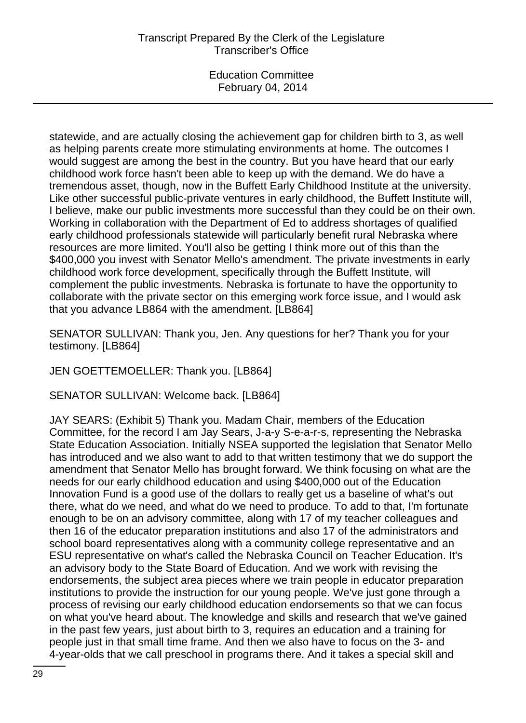statewide, and are actually closing the achievement gap for children birth to 3, as well as helping parents create more stimulating environments at home. The outcomes I would suggest are among the best in the country. But you have heard that our early childhood work force hasn't been able to keep up with the demand. We do have a tremendous asset, though, now in the Buffett Early Childhood Institute at the university. Like other successful public-private ventures in early childhood, the Buffett Institute will, I believe, make our public investments more successful than they could be on their own. Working in collaboration with the Department of Ed to address shortages of qualified early childhood professionals statewide will particularly benefit rural Nebraska where resources are more limited. You'll also be getting I think more out of this than the \$400,000 you invest with Senator Mello's amendment. The private investments in early childhood work force development, specifically through the Buffett Institute, will complement the public investments. Nebraska is fortunate to have the opportunity to collaborate with the private sector on this emerging work force issue, and I would ask that you advance LB864 with the amendment. [LB864]

SENATOR SULLIVAN: Thank you, Jen. Any questions for her? Thank you for your testimony. [LB864]

JEN GOETTEMOELLER: Thank you. [LB864]

SENATOR SULLIVAN: Welcome back. [LB864]

JAY SEARS: (Exhibit 5) Thank you. Madam Chair, members of the Education Committee, for the record I am Jay Sears, J-a-y S-e-a-r-s, representing the Nebraska State Education Association. Initially NSEA supported the legislation that Senator Mello has introduced and we also want to add to that written testimony that we do support the amendment that Senator Mello has brought forward. We think focusing on what are the needs for our early childhood education and using \$400,000 out of the Education Innovation Fund is a good use of the dollars to really get us a baseline of what's out there, what do we need, and what do we need to produce. To add to that, I'm fortunate enough to be on an advisory committee, along with 17 of my teacher colleagues and then 16 of the educator preparation institutions and also 17 of the administrators and school board representatives along with a community college representative and an ESU representative on what's called the Nebraska Council on Teacher Education. It's an advisory body to the State Board of Education. And we work with revising the endorsements, the subject area pieces where we train people in educator preparation institutions to provide the instruction for our young people. We've just gone through a process of revising our early childhood education endorsements so that we can focus on what you've heard about. The knowledge and skills and research that we've gained in the past few years, just about birth to 3, requires an education and a training for people just in that small time frame. And then we also have to focus on the 3- and 4-year-olds that we call preschool in programs there. And it takes a special skill and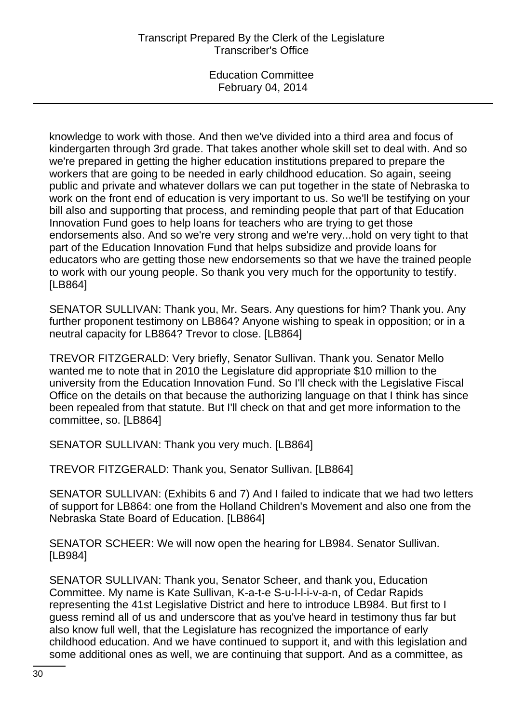knowledge to work with those. And then we've divided into a third area and focus of kindergarten through 3rd grade. That takes another whole skill set to deal with. And so we're prepared in getting the higher education institutions prepared to prepare the workers that are going to be needed in early childhood education. So again, seeing public and private and whatever dollars we can put together in the state of Nebraska to work on the front end of education is very important to us. So we'll be testifying on your bill also and supporting that process, and reminding people that part of that Education Innovation Fund goes to help loans for teachers who are trying to get those endorsements also. And so we're very strong and we're very...hold on very tight to that part of the Education Innovation Fund that helps subsidize and provide loans for educators who are getting those new endorsements so that we have the trained people to work with our young people. So thank you very much for the opportunity to testify. [LB864]

SENATOR SULLIVAN: Thank you, Mr. Sears. Any questions for him? Thank you. Any further proponent testimony on LB864? Anyone wishing to speak in opposition; or in a neutral capacity for LB864? Trevor to close. [LB864]

TREVOR FITZGERALD: Very briefly, Senator Sullivan. Thank you. Senator Mello wanted me to note that in 2010 the Legislature did appropriate \$10 million to the university from the Education Innovation Fund. So I'll check with the Legislative Fiscal Office on the details on that because the authorizing language on that I think has since been repealed from that statute. But I'll check on that and get more information to the committee, so. [LB864]

SENATOR SULLIVAN: Thank you very much. [LB864]

TREVOR FITZGERALD: Thank you, Senator Sullivan. [LB864]

SENATOR SULLIVAN: (Exhibits 6 and 7) And I failed to indicate that we had two letters of support for LB864: one from the Holland Children's Movement and also one from the Nebraska State Board of Education. [LB864]

SENATOR SCHEER: We will now open the hearing for LB984. Senator Sullivan. [LB984]

SENATOR SULLIVAN: Thank you, Senator Scheer, and thank you, Education Committee. My name is Kate Sullivan, K-a-t-e S-u-l-l-i-v-a-n, of Cedar Rapids representing the 41st Legislative District and here to introduce LB984. But first to I guess remind all of us and underscore that as you've heard in testimony thus far but also know full well, that the Legislature has recognized the importance of early childhood education. And we have continued to support it, and with this legislation and some additional ones as well, we are continuing that support. And as a committee, as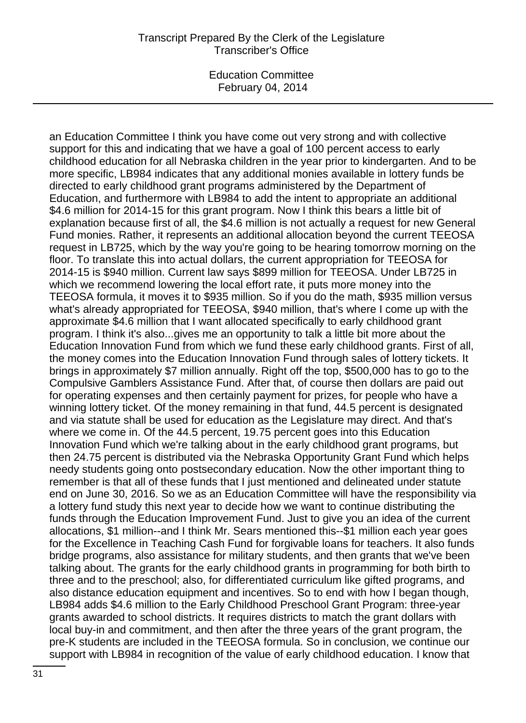an Education Committee I think you have come out very strong and with collective support for this and indicating that we have a goal of 100 percent access to early childhood education for all Nebraska children in the year prior to kindergarten. And to be more specific, LB984 indicates that any additional monies available in lottery funds be directed to early childhood grant programs administered by the Department of Education, and furthermore with LB984 to add the intent to appropriate an additional \$4.6 million for 2014-15 for this grant program. Now I think this bears a little bit of explanation because first of all, the \$4.6 million is not actually a request for new General Fund monies. Rather, it represents an additional allocation beyond the current TEEOSA request in LB725, which by the way you're going to be hearing tomorrow morning on the floor. To translate this into actual dollars, the current appropriation for TEEOSA for 2014-15 is \$940 million. Current law says \$899 million for TEEOSA. Under LB725 in which we recommend lowering the local effort rate, it puts more money into the TEEOSA formula, it moves it to \$935 million. So if you do the math, \$935 million versus what's already appropriated for TEEOSA, \$940 million, that's where I come up with the approximate \$4.6 million that I want allocated specifically to early childhood grant program. I think it's also...gives me an opportunity to talk a little bit more about the Education Innovation Fund from which we fund these early childhood grants. First of all, the money comes into the Education Innovation Fund through sales of lottery tickets. It brings in approximately \$7 million annually. Right off the top, \$500,000 has to go to the Compulsive Gamblers Assistance Fund. After that, of course then dollars are paid out for operating expenses and then certainly payment for prizes, for people who have a winning lottery ticket. Of the money remaining in that fund, 44.5 percent is designated and via statute shall be used for education as the Legislature may direct. And that's where we come in. Of the 44.5 percent, 19.75 percent goes into this Education Innovation Fund which we're talking about in the early childhood grant programs, but then 24.75 percent is distributed via the Nebraska Opportunity Grant Fund which helps needy students going onto postsecondary education. Now the other important thing to remember is that all of these funds that I just mentioned and delineated under statute end on June 30, 2016. So we as an Education Committee will have the responsibility via a lottery fund study this next year to decide how we want to continue distributing the funds through the Education Improvement Fund. Just to give you an idea of the current allocations, \$1 million--and I think Mr. Sears mentioned this--\$1 million each year goes for the Excellence in Teaching Cash Fund for forgivable loans for teachers. It also funds bridge programs, also assistance for military students, and then grants that we've been talking about. The grants for the early childhood grants in programming for both birth to three and to the preschool; also, for differentiated curriculum like gifted programs, and also distance education equipment and incentives. So to end with how I began though, LB984 adds \$4.6 million to the Early Childhood Preschool Grant Program: three-year grants awarded to school districts. It requires districts to match the grant dollars with local buy-in and commitment, and then after the three years of the grant program, the pre-K students are included in the TEEOSA formula. So in conclusion, we continue our support with LB984 in recognition of the value of early childhood education. I know that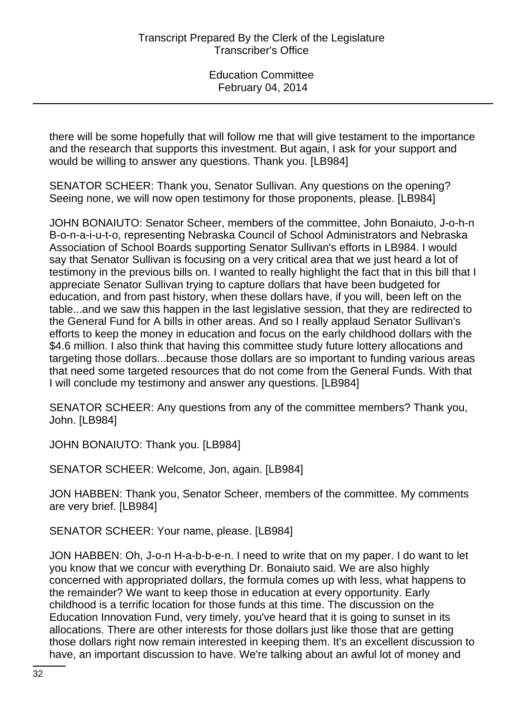there will be some hopefully that will follow me that will give testament to the importance and the research that supports this investment. But again, I ask for your support and would be willing to answer any questions. Thank you. [LB984]

SENATOR SCHEER: Thank you, Senator Sullivan. Any questions on the opening? Seeing none, we will now open testimony for those proponents, please. [LB984]

JOHN BONAIUTO: Senator Scheer, members of the committee, John Bonaiuto, J-o-h-n B-o-n-a-i-u-t-o, representing Nebraska Council of School Administrators and Nebraska Association of School Boards supporting Senator Sullivan's efforts in LB984. I would say that Senator Sullivan is focusing on a very critical area that we just heard a lot of testimony in the previous bills on. I wanted to really highlight the fact that in this bill that I appreciate Senator Sullivan trying to capture dollars that have been budgeted for education, and from past history, when these dollars have, if you will, been left on the table...and we saw this happen in the last legislative session, that they are redirected to the General Fund for A bills in other areas. And so I really applaud Senator Sullivan's efforts to keep the money in education and focus on the early childhood dollars with the \$4.6 million. I also think that having this committee study future lottery allocations and targeting those dollars...because those dollars are so important to funding various areas that need some targeted resources that do not come from the General Funds. With that I will conclude my testimony and answer any questions. [LB984]

SENATOR SCHEER: Any questions from any of the committee members? Thank you, John. [LB984]

JOHN BONAIUTO: Thank you. [LB984]

SENATOR SCHEER: Welcome, Jon, again. [LB984]

JON HABBEN: Thank you, Senator Scheer, members of the committee. My comments are very brief. [LB984]

SENATOR SCHEER: Your name, please. [LB984]

JON HABBEN: Oh, J-o-n H-a-b-b-e-n. I need to write that on my paper. I do want to let you know that we concur with everything Dr. Bonaiuto said. We are also highly concerned with appropriated dollars, the formula comes up with less, what happens to the remainder? We want to keep those in education at every opportunity. Early childhood is a terrific location for those funds at this time. The discussion on the Education Innovation Fund, very timely, you've heard that it is going to sunset in its allocations. There are other interests for those dollars just like those that are getting those dollars right now remain interested in keeping them. It's an excellent discussion to have, an important discussion to have. We're talking about an awful lot of money and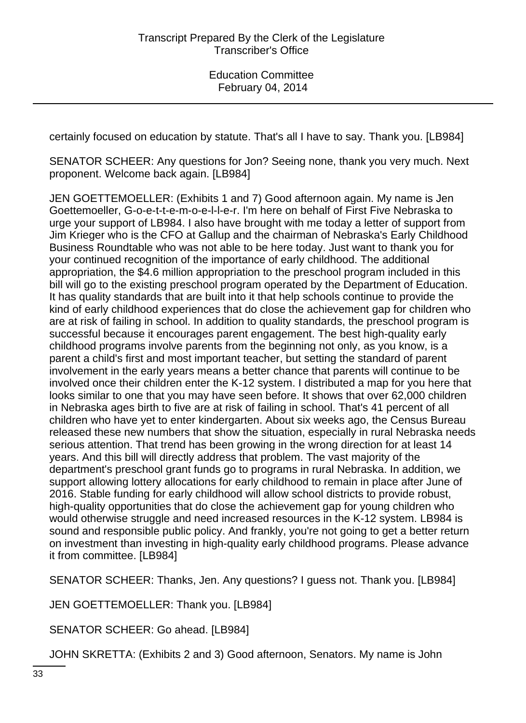certainly focused on education by statute. That's all I have to say. Thank you. [LB984]

SENATOR SCHEER: Any questions for Jon? Seeing none, thank you very much. Next proponent. Welcome back again. [LB984]

JEN GOETTEMOELLER: (Exhibits 1 and 7) Good afternoon again. My name is Jen Goettemoeller, G-o-e-t-t-e-m-o-e-l-l-e-r. I'm here on behalf of First Five Nebraska to urge your support of LB984. I also have brought with me today a letter of support from Jim Krieger who is the CFO at Gallup and the chairman of Nebraska's Early Childhood Business Roundtable who was not able to be here today. Just want to thank you for your continued recognition of the importance of early childhood. The additional appropriation, the \$4.6 million appropriation to the preschool program included in this bill will go to the existing preschool program operated by the Department of Education. It has quality standards that are built into it that help schools continue to provide the kind of early childhood experiences that do close the achievement gap for children who are at risk of failing in school. In addition to quality standards, the preschool program is successful because it encourages parent engagement. The best high-quality early childhood programs involve parents from the beginning not only, as you know, is a parent a child's first and most important teacher, but setting the standard of parent involvement in the early years means a better chance that parents will continue to be involved once their children enter the K-12 system. I distributed a map for you here that looks similar to one that you may have seen before. It shows that over 62,000 children in Nebraska ages birth to five are at risk of failing in school. That's 41 percent of all children who have yet to enter kindergarten. About six weeks ago, the Census Bureau released these new numbers that show the situation, especially in rural Nebraska needs serious attention. That trend has been growing in the wrong direction for at least 14 years. And this bill will directly address that problem. The vast majority of the department's preschool grant funds go to programs in rural Nebraska. In addition, we support allowing lottery allocations for early childhood to remain in place after June of 2016. Stable funding for early childhood will allow school districts to provide robust, high-quality opportunities that do close the achievement gap for young children who would otherwise struggle and need increased resources in the K-12 system. LB984 is sound and responsible public policy. And frankly, you're not going to get a better return on investment than investing in high-quality early childhood programs. Please advance it from committee. [LB984]

SENATOR SCHEER: Thanks, Jen. Any questions? I guess not. Thank you. [LB984]

JEN GOETTEMOELLER: Thank you. [LB984]

SENATOR SCHEER: Go ahead. [LB984]

JOHN SKRETTA: (Exhibits 2 and 3) Good afternoon, Senators. My name is John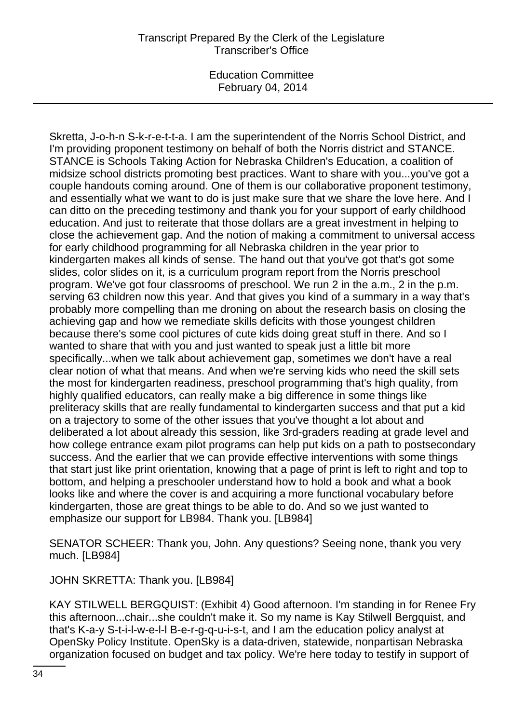Skretta, J-o-h-n S-k-r-e-t-t-a. I am the superintendent of the Norris School District, and I'm providing proponent testimony on behalf of both the Norris district and STANCE. STANCE is Schools Taking Action for Nebraska Children's Education, a coalition of midsize school districts promoting best practices. Want to share with you...you've got a couple handouts coming around. One of them is our collaborative proponent testimony, and essentially what we want to do is just make sure that we share the love here. And I can ditto on the preceding testimony and thank you for your support of early childhood education. And just to reiterate that those dollars are a great investment in helping to close the achievement gap. And the notion of making a commitment to universal access for early childhood programming for all Nebraska children in the year prior to kindergarten makes all kinds of sense. The hand out that you've got that's got some slides, color slides on it, is a curriculum program report from the Norris preschool program. We've got four classrooms of preschool. We run 2 in the a.m., 2 in the p.m. serving 63 children now this year. And that gives you kind of a summary in a way that's probably more compelling than me droning on about the research basis on closing the achieving gap and how we remediate skills deficits with those youngest children because there's some cool pictures of cute kids doing great stuff in there. And so I wanted to share that with you and just wanted to speak just a little bit more specifically...when we talk about achievement gap, sometimes we don't have a real clear notion of what that means. And when we're serving kids who need the skill sets the most for kindergarten readiness, preschool programming that's high quality, from highly qualified educators, can really make a big difference in some things like preliteracy skills that are really fundamental to kindergarten success and that put a kid on a trajectory to some of the other issues that you've thought a lot about and deliberated a lot about already this session, like 3rd-graders reading at grade level and how college entrance exam pilot programs can help put kids on a path to postsecondary success. And the earlier that we can provide effective interventions with some things that start just like print orientation, knowing that a page of print is left to right and top to bottom, and helping a preschooler understand how to hold a book and what a book looks like and where the cover is and acquiring a more functional vocabulary before kindergarten, those are great things to be able to do. And so we just wanted to emphasize our support for LB984. Thank you. [LB984]

SENATOR SCHEER: Thank you, John. Any questions? Seeing none, thank you very much. [LB984]

JOHN SKRETTA: Thank you. [LB984]

KAY STILWELL BERGQUIST: (Exhibit 4) Good afternoon. I'm standing in for Renee Fry this afternoon...chair...she couldn't make it. So my name is Kay Stilwell Bergquist, and that's K-a-y S-t-i-l-w-e-l-l B-e-r-g-q-u-i-s-t, and I am the education policy analyst at OpenSky Policy Institute. OpenSky is a data-driven, statewide, nonpartisan Nebraska organization focused on budget and tax policy. We're here today to testify in support of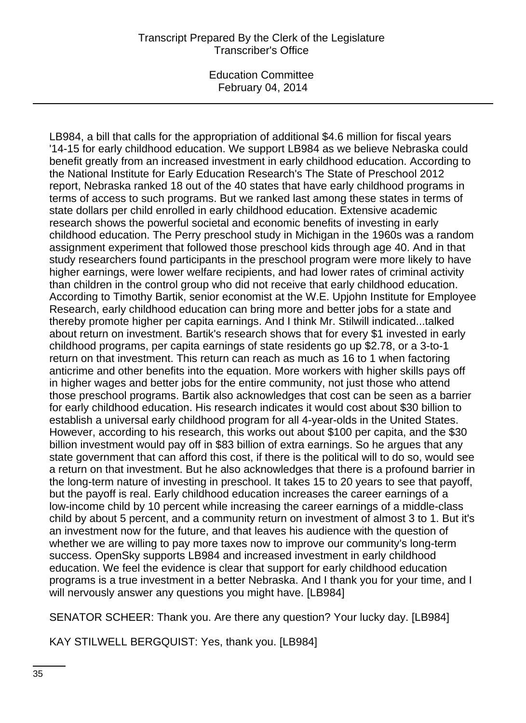LB984, a bill that calls for the appropriation of additional \$4.6 million for fiscal years '14-15 for early childhood education. We support LB984 as we believe Nebraska could benefit greatly from an increased investment in early childhood education. According to the National Institute for Early Education Research's The State of Preschool 2012 report, Nebraska ranked 18 out of the 40 states that have early childhood programs in terms of access to such programs. But we ranked last among these states in terms of state dollars per child enrolled in early childhood education. Extensive academic research shows the powerful societal and economic benefits of investing in early childhood education. The Perry preschool study in Michigan in the 1960s was a random assignment experiment that followed those preschool kids through age 40. And in that study researchers found participants in the preschool program were more likely to have higher earnings, were lower welfare recipients, and had lower rates of criminal activity than children in the control group who did not receive that early childhood education. According to Timothy Bartik, senior economist at the W.E. Upjohn Institute for Employee Research, early childhood education can bring more and better jobs for a state and thereby promote higher per capita earnings. And I think Mr. Stilwill indicated...talked about return on investment. Bartik's research shows that for every \$1 invested in early childhood programs, per capita earnings of state residents go up \$2.78, or a 3-to-1 return on that investment. This return can reach as much as 16 to 1 when factoring anticrime and other benefits into the equation. More workers with higher skills pays off in higher wages and better jobs for the entire community, not just those who attend those preschool programs. Bartik also acknowledges that cost can be seen as a barrier for early childhood education. His research indicates it would cost about \$30 billion to establish a universal early childhood program for all 4-year-olds in the United States. However, according to his research, this works out about \$100 per capita, and the \$30 billion investment would pay off in \$83 billion of extra earnings. So he argues that any state government that can afford this cost, if there is the political will to do so, would see a return on that investment. But he also acknowledges that there is a profound barrier in the long-term nature of investing in preschool. It takes 15 to 20 years to see that payoff, but the payoff is real. Early childhood education increases the career earnings of a low-income child by 10 percent while increasing the career earnings of a middle-class child by about 5 percent, and a community return on investment of almost 3 to 1. But it's an investment now for the future, and that leaves his audience with the question of whether we are willing to pay more taxes now to improve our community's long-term success. OpenSky supports LB984 and increased investment in early childhood education. We feel the evidence is clear that support for early childhood education programs is a true investment in a better Nebraska. And I thank you for your time, and I will nervously answer any questions you might have. [LB984]

SENATOR SCHEER: Thank you. Are there any question? Your lucky day. [LB984]

KAY STILWELL BERGQUIST: Yes, thank you. [LB984]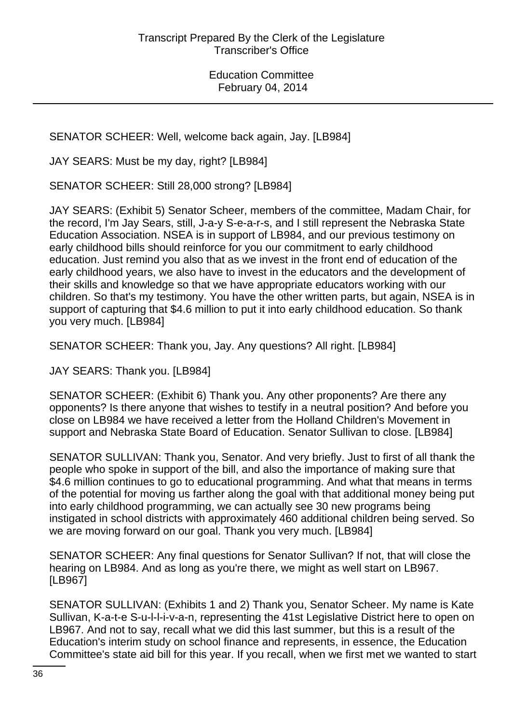SENATOR SCHEER: Well, welcome back again, Jay. [LB984]

JAY SEARS: Must be my day, right? [LB984]

SENATOR SCHEER: Still 28,000 strong? [LB984]

JAY SEARS: (Exhibit 5) Senator Scheer, members of the committee, Madam Chair, for the record, I'm Jay Sears, still, J-a-y S-e-a-r-s, and I still represent the Nebraska State Education Association. NSEA is in support of LB984, and our previous testimony on early childhood bills should reinforce for you our commitment to early childhood education. Just remind you also that as we invest in the front end of education of the early childhood years, we also have to invest in the educators and the development of their skills and knowledge so that we have appropriate educators working with our children. So that's my testimony. You have the other written parts, but again, NSEA is in support of capturing that \$4.6 million to put it into early childhood education. So thank you very much. [LB984]

SENATOR SCHEER: Thank you, Jay. Any questions? All right. [LB984]

JAY SEARS: Thank you. [LB984]

SENATOR SCHEER: (Exhibit 6) Thank you. Any other proponents? Are there any opponents? Is there anyone that wishes to testify in a neutral position? And before you close on LB984 we have received a letter from the Holland Children's Movement in support and Nebraska State Board of Education. Senator Sullivan to close. [LB984]

SENATOR SULLIVAN: Thank you, Senator. And very briefly. Just to first of all thank the people who spoke in support of the bill, and also the importance of making sure that \$4.6 million continues to go to educational programming. And what that means in terms of the potential for moving us farther along the goal with that additional money being put into early childhood programming, we can actually see 30 new programs being instigated in school districts with approximately 460 additional children being served. So we are moving forward on our goal. Thank you very much. [LB984]

SENATOR SCHEER: Any final questions for Senator Sullivan? If not, that will close the hearing on LB984. And as long as you're there, we might as well start on LB967. [LB967]

SENATOR SULLIVAN: (Exhibits 1 and 2) Thank you, Senator Scheer. My name is Kate Sullivan, K-a-t-e S-u-l-l-i-v-a-n, representing the 41st Legislative District here to open on LB967. And not to say, recall what we did this last summer, but this is a result of the Education's interim study on school finance and represents, in essence, the Education Committee's state aid bill for this year. If you recall, when we first met we wanted to start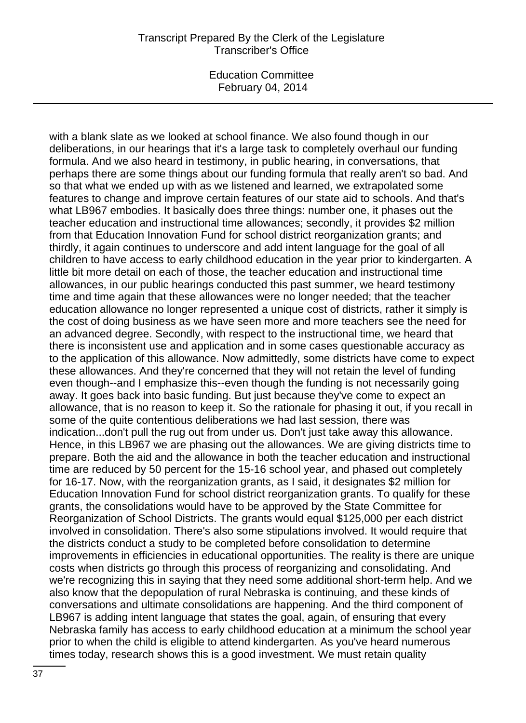#### Transcript Prepared By the Clerk of the Legislature Transcriber's Office

Education Committee February 04, 2014

with a blank slate as we looked at school finance. We also found though in our deliberations, in our hearings that it's a large task to completely overhaul our funding formula. And we also heard in testimony, in public hearing, in conversations, that perhaps there are some things about our funding formula that really aren't so bad. And so that what we ended up with as we listened and learned, we extrapolated some features to change and improve certain features of our state aid to schools. And that's what LB967 embodies. It basically does three things: number one, it phases out the teacher education and instructional time allowances; secondly, it provides \$2 million from that Education Innovation Fund for school district reorganization grants; and thirdly, it again continues to underscore and add intent language for the goal of all children to have access to early childhood education in the year prior to kindergarten. A little bit more detail on each of those, the teacher education and instructional time allowances, in our public hearings conducted this past summer, we heard testimony time and time again that these allowances were no longer needed; that the teacher education allowance no longer represented a unique cost of districts, rather it simply is the cost of doing business as we have seen more and more teachers see the need for an advanced degree. Secondly, with respect to the instructional time, we heard that there is inconsistent use and application and in some cases questionable accuracy as to the application of this allowance. Now admittedly, some districts have come to expect these allowances. And they're concerned that they will not retain the level of funding even though--and I emphasize this--even though the funding is not necessarily going away. It goes back into basic funding. But just because they've come to expect an allowance, that is no reason to keep it. So the rationale for phasing it out, if you recall in some of the quite contentious deliberations we had last session, there was indication...don't pull the rug out from under us. Don't just take away this allowance. Hence, in this LB967 we are phasing out the allowances. We are giving districts time to prepare. Both the aid and the allowance in both the teacher education and instructional time are reduced by 50 percent for the 15-16 school year, and phased out completely for 16-17. Now, with the reorganization grants, as I said, it designates \$2 million for Education Innovation Fund for school district reorganization grants. To qualify for these grants, the consolidations would have to be approved by the State Committee for Reorganization of School Districts. The grants would equal \$125,000 per each district involved in consolidation. There's also some stipulations involved. It would require that the districts conduct a study to be completed before consolidation to determine improvements in efficiencies in educational opportunities. The reality is there are unique costs when districts go through this process of reorganizing and consolidating. And we're recognizing this in saying that they need some additional short-term help. And we also know that the depopulation of rural Nebraska is continuing, and these kinds of conversations and ultimate consolidations are happening. And the third component of LB967 is adding intent language that states the goal, again, of ensuring that every Nebraska family has access to early childhood education at a minimum the school year prior to when the child is eligible to attend kindergarten. As you've heard numerous times today, research shows this is a good investment. We must retain quality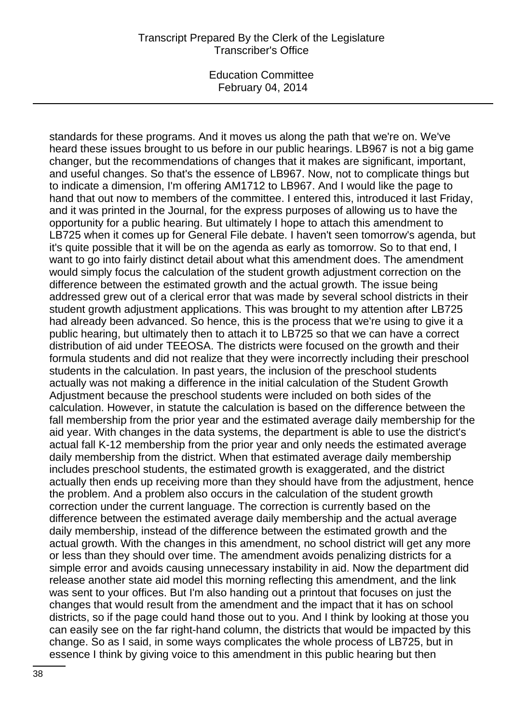standards for these programs. And it moves us along the path that we're on. We've heard these issues brought to us before in our public hearings. LB967 is not a big game changer, but the recommendations of changes that it makes are significant, important, and useful changes. So that's the essence of LB967. Now, not to complicate things but to indicate a dimension, I'm offering AM1712 to LB967. And I would like the page to hand that out now to members of the committee. I entered this, introduced it last Friday, and it was printed in the Journal, for the express purposes of allowing us to have the opportunity for a public hearing. But ultimately I hope to attach this amendment to LB725 when it comes up for General File debate. I haven't seen tomorrow's agenda, but it's quite possible that it will be on the agenda as early as tomorrow. So to that end, I want to go into fairly distinct detail about what this amendment does. The amendment would simply focus the calculation of the student growth adjustment correction on the difference between the estimated growth and the actual growth. The issue being addressed grew out of a clerical error that was made by several school districts in their student growth adjustment applications. This was brought to my attention after LB725 had already been advanced. So hence, this is the process that we're using to give it a public hearing, but ultimately then to attach it to LB725 so that we can have a correct distribution of aid under TEEOSA. The districts were focused on the growth and their formula students and did not realize that they were incorrectly including their preschool students in the calculation. In past years, the inclusion of the preschool students actually was not making a difference in the initial calculation of the Student Growth Adjustment because the preschool students were included on both sides of the calculation. However, in statute the calculation is based on the difference between the fall membership from the prior year and the estimated average daily membership for the aid year. With changes in the data systems, the department is able to use the district's actual fall K-12 membership from the prior year and only needs the estimated average daily membership from the district. When that estimated average daily membership includes preschool students, the estimated growth is exaggerated, and the district actually then ends up receiving more than they should have from the adjustment, hence the problem. And a problem also occurs in the calculation of the student growth correction under the current language. The correction is currently based on the difference between the estimated average daily membership and the actual average daily membership, instead of the difference between the estimated growth and the actual growth. With the changes in this amendment, no school district will get any more or less than they should over time. The amendment avoids penalizing districts for a simple error and avoids causing unnecessary instability in aid. Now the department did release another state aid model this morning reflecting this amendment, and the link was sent to your offices. But I'm also handing out a printout that focuses on just the changes that would result from the amendment and the impact that it has on school districts, so if the page could hand those out to you. And I think by looking at those you can easily see on the far right-hand column, the districts that would be impacted by this change. So as I said, in some ways complicates the whole process of LB725, but in essence I think by giving voice to this amendment in this public hearing but then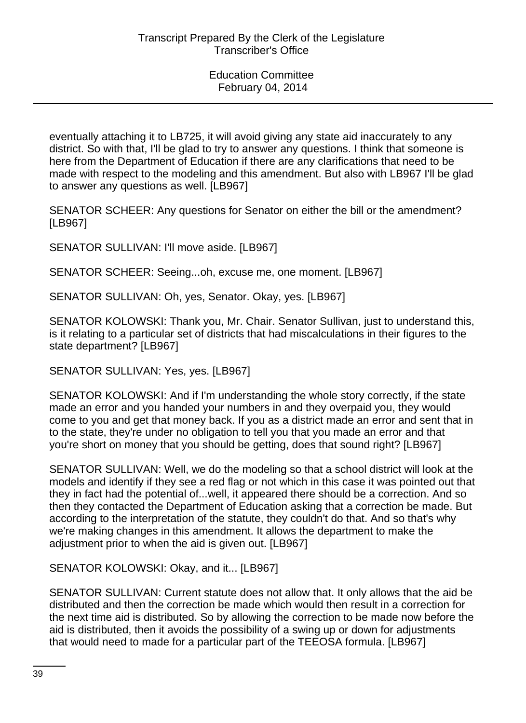eventually attaching it to LB725, it will avoid giving any state aid inaccurately to any district. So with that, I'll be glad to try to answer any questions. I think that someone is here from the Department of Education if there are any clarifications that need to be made with respect to the modeling and this amendment. But also with LB967 I'll be glad to answer any questions as well. [LB967]

SENATOR SCHEER: Any questions for Senator on either the bill or the amendment? [LB967]

SENATOR SULLIVAN: I'll move aside. [LB967]

SENATOR SCHEER: Seeing...oh, excuse me, one moment. [LB967]

SENATOR SULLIVAN: Oh, yes, Senator. Okay, yes. [LB967]

SENATOR KOLOWSKI: Thank you, Mr. Chair. Senator Sullivan, just to understand this, is it relating to a particular set of districts that had miscalculations in their figures to the state department? [LB967]

SENATOR SULLIVAN: Yes, yes. [LB967]

SENATOR KOLOWSKI: And if I'm understanding the whole story correctly, if the state made an error and you handed your numbers in and they overpaid you, they would come to you and get that money back. If you as a district made an error and sent that in to the state, they're under no obligation to tell you that you made an error and that you're short on money that you should be getting, does that sound right? [LB967]

SENATOR SULLIVAN: Well, we do the modeling so that a school district will look at the models and identify if they see a red flag or not which in this case it was pointed out that they in fact had the potential of...well, it appeared there should be a correction. And so then they contacted the Department of Education asking that a correction be made. But according to the interpretation of the statute, they couldn't do that. And so that's why we're making changes in this amendment. It allows the department to make the adjustment prior to when the aid is given out. [LB967]

SENATOR KOLOWSKI: Okay, and it... [LB967]

SENATOR SULLIVAN: Current statute does not allow that. It only allows that the aid be distributed and then the correction be made which would then result in a correction for the next time aid is distributed. So by allowing the correction to be made now before the aid is distributed, then it avoids the possibility of a swing up or down for adjustments that would need to made for a particular part of the TEEOSA formula. [LB967]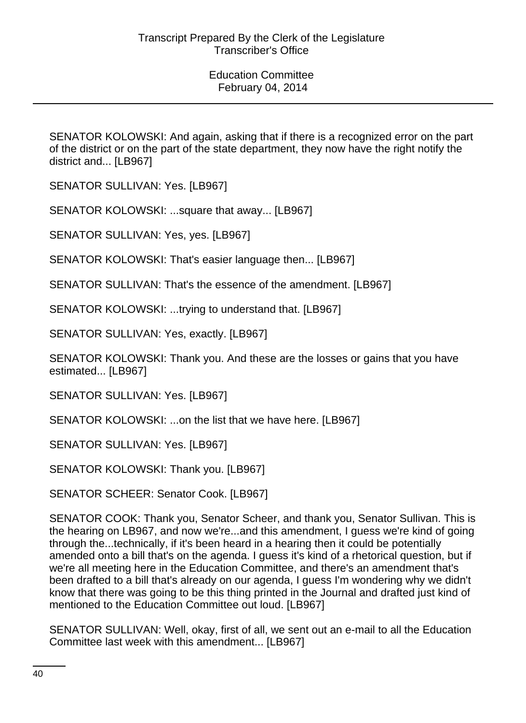SENATOR KOLOWSKI: And again, asking that if there is a recognized error on the part of the district or on the part of the state department, they now have the right notify the district and... [LB967]

SENATOR SULLIVAN: Yes. [LB967]

SENATOR KOLOWSKI: ...square that away... [LB967]

SENATOR SULLIVAN: Yes, yes. [LB967]

SENATOR KOLOWSKI: That's easier language then... [LB967]

SENATOR SULLIVAN: That's the essence of the amendment. [LB967]

SENATOR KOLOWSKI: ...trying to understand that. [LB967]

SENATOR SULLIVAN: Yes, exactly. [LB967]

SENATOR KOLOWSKI: Thank you. And these are the losses or gains that you have estimated... [LB967]

SENATOR SULLIVAN: Yes. [LB967]

SENATOR KOLOWSKI: ...on the list that we have here. [LB967]

SENATOR SULLIVAN: Yes. [LB967]

SENATOR KOLOWSKI: Thank you. [LB967]

SENATOR SCHEER: Senator Cook. [LB967]

SENATOR COOK: Thank you, Senator Scheer, and thank you, Senator Sullivan. This is the hearing on LB967, and now we're...and this amendment, I guess we're kind of going through the...technically, if it's been heard in a hearing then it could be potentially amended onto a bill that's on the agenda. I guess it's kind of a rhetorical question, but if we're all meeting here in the Education Committee, and there's an amendment that's been drafted to a bill that's already on our agenda, I guess I'm wondering why we didn't know that there was going to be this thing printed in the Journal and drafted just kind of mentioned to the Education Committee out loud. [LB967]

SENATOR SULLIVAN: Well, okay, first of all, we sent out an e-mail to all the Education Committee last week with this amendment... [LB967]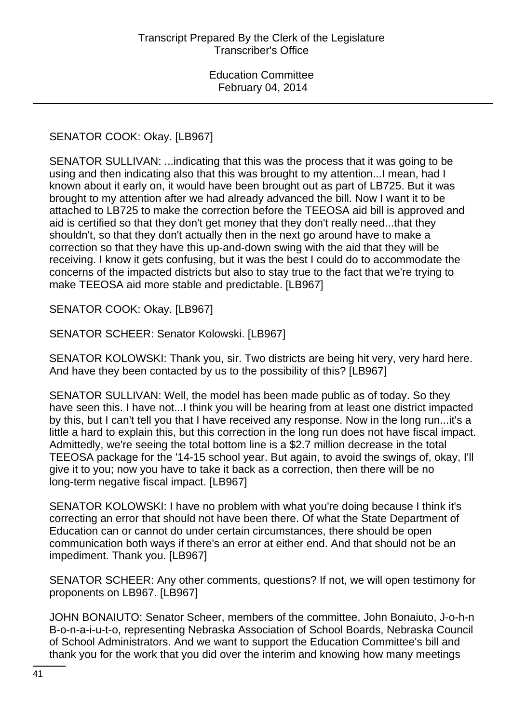## SENATOR COOK: Okay. [LB967]

SENATOR SULLIVAN: ...indicating that this was the process that it was going to be using and then indicating also that this was brought to my attention...I mean, had I known about it early on, it would have been brought out as part of LB725. But it was brought to my attention after we had already advanced the bill. Now I want it to be attached to LB725 to make the correction before the TEEOSA aid bill is approved and aid is certified so that they don't get money that they don't really need...that they shouldn't, so that they don't actually then in the next go around have to make a correction so that they have this up-and-down swing with the aid that they will be receiving. I know it gets confusing, but it was the best I could do to accommodate the concerns of the impacted districts but also to stay true to the fact that we're trying to make TEEOSA aid more stable and predictable. [LB967]

SENATOR COOK: Okay. [LB967]

SENATOR SCHEER: Senator Kolowski. [LB967]

SENATOR KOLOWSKI: Thank you, sir. Two districts are being hit very, very hard here. And have they been contacted by us to the possibility of this? [LB967]

SENATOR SULLIVAN: Well, the model has been made public as of today. So they have seen this. I have not...I think you will be hearing from at least one district impacted by this, but I can't tell you that I have received any response. Now in the long run...it's a little a hard to explain this, but this correction in the long run does not have fiscal impact. Admittedly, we're seeing the total bottom line is a \$2.7 million decrease in the total TEEOSA package for the '14-15 school year. But again, to avoid the swings of, okay, I'll give it to you; now you have to take it back as a correction, then there will be no long-term negative fiscal impact. [LB967]

SENATOR KOLOWSKI: I have no problem with what you're doing because I think it's correcting an error that should not have been there. Of what the State Department of Education can or cannot do under certain circumstances, there should be open communication both ways if there's an error at either end. And that should not be an impediment. Thank you. [LB967]

SENATOR SCHEER: Any other comments, questions? If not, we will open testimony for proponents on LB967. [LB967]

JOHN BONAIUTO: Senator Scheer, members of the committee, John Bonaiuto, J-o-h-n B-o-n-a-i-u-t-o, representing Nebraska Association of School Boards, Nebraska Council of School Administrators. And we want to support the Education Committee's bill and thank you for the work that you did over the interim and knowing how many meetings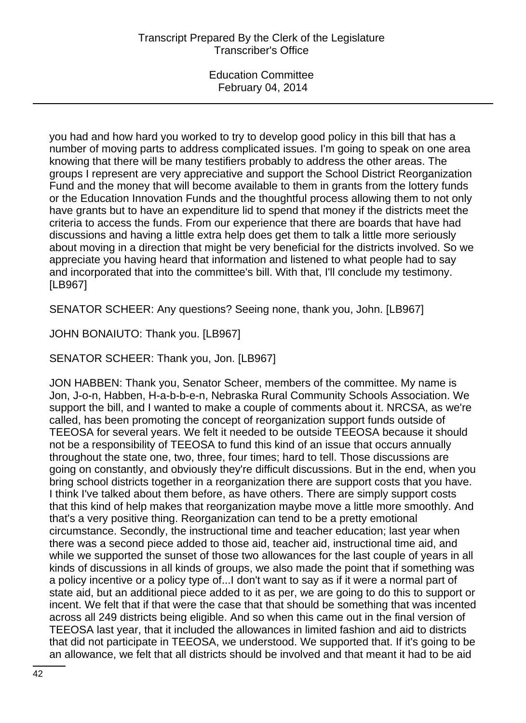you had and how hard you worked to try to develop good policy in this bill that has a number of moving parts to address complicated issues. I'm going to speak on one area knowing that there will be many testifiers probably to address the other areas. The groups I represent are very appreciative and support the School District Reorganization Fund and the money that will become available to them in grants from the lottery funds or the Education Innovation Funds and the thoughtful process allowing them to not only have grants but to have an expenditure lid to spend that money if the districts meet the criteria to access the funds. From our experience that there are boards that have had discussions and having a little extra help does get them to talk a little more seriously about moving in a direction that might be very beneficial for the districts involved. So we appreciate you having heard that information and listened to what people had to say and incorporated that into the committee's bill. With that, I'll conclude my testimony. [LB967]

SENATOR SCHEER: Any questions? Seeing none, thank you, John. [LB967]

JOHN BONAIUTO: Thank you. [LB967]

SENATOR SCHEER: Thank you, Jon. [LB967]

JON HABBEN: Thank you, Senator Scheer, members of the committee. My name is Jon, J-o-n, Habben, H-a-b-b-e-n, Nebraska Rural Community Schools Association. We support the bill, and I wanted to make a couple of comments about it. NRCSA, as we're called, has been promoting the concept of reorganization support funds outside of TEEOSA for several years. We felt it needed to be outside TEEOSA because it should not be a responsibility of TEEOSA to fund this kind of an issue that occurs annually throughout the state one, two, three, four times; hard to tell. Those discussions are going on constantly, and obviously they're difficult discussions. But in the end, when you bring school districts together in a reorganization there are support costs that you have. I think I've talked about them before, as have others. There are simply support costs that this kind of help makes that reorganization maybe move a little more smoothly. And that's a very positive thing. Reorganization can tend to be a pretty emotional circumstance. Secondly, the instructional time and teacher education; last year when there was a second piece added to those aid, teacher aid, instructional time aid, and while we supported the sunset of those two allowances for the last couple of years in all kinds of discussions in all kinds of groups, we also made the point that if something was a policy incentive or a policy type of...I don't want to say as if it were a normal part of state aid, but an additional piece added to it as per, we are going to do this to support or incent. We felt that if that were the case that that should be something that was incented across all 249 districts being eligible. And so when this came out in the final version of TEEOSA last year, that it included the allowances in limited fashion and aid to districts that did not participate in TEEOSA, we understood. We supported that. If it's going to be an allowance, we felt that all districts should be involved and that meant it had to be aid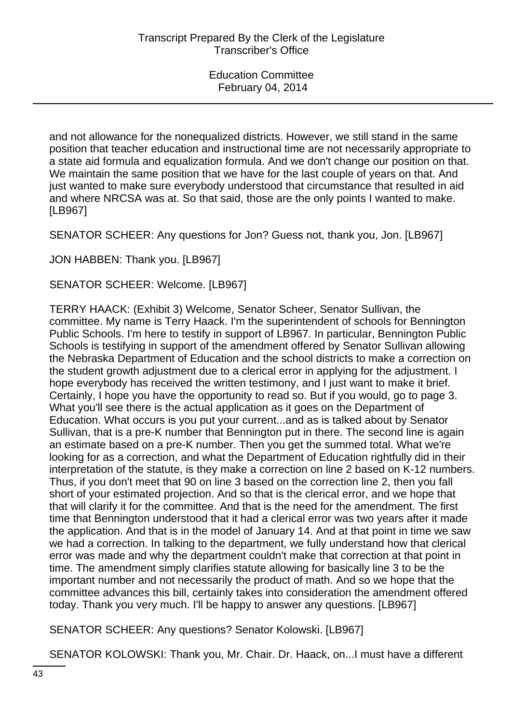and not allowance for the nonequalized districts. However, we still stand in the same position that teacher education and instructional time are not necessarily appropriate to a state aid formula and equalization formula. And we don't change our position on that. We maintain the same position that we have for the last couple of years on that. And just wanted to make sure everybody understood that circumstance that resulted in aid and where NRCSA was at. So that said, those are the only points I wanted to make. [LB967]

SENATOR SCHEER: Any questions for Jon? Guess not, thank you, Jon. [LB967]

JON HABBEN: Thank you. [LB967]

SENATOR SCHEER: Welcome. [LB967]

TERRY HAACK: (Exhibit 3) Welcome, Senator Scheer, Senator Sullivan, the committee. My name is Terry Haack. I'm the superintendent of schools for Bennington Public Schools. I'm here to testify in support of LB967. In particular, Bennington Public Schools is testifying in support of the amendment offered by Senator Sullivan allowing the Nebraska Department of Education and the school districts to make a correction on the student growth adjustment due to a clerical error in applying for the adjustment. I hope everybody has received the written testimony, and I just want to make it brief. Certainly, I hope you have the opportunity to read so. But if you would, go to page 3. What you'll see there is the actual application as it goes on the Department of Education. What occurs is you put your current...and as is talked about by Senator Sullivan, that is a pre-K number that Bennington put in there. The second line is again an estimate based on a pre-K number. Then you get the summed total. What we're looking for as a correction, and what the Department of Education rightfully did in their interpretation of the statute, is they make a correction on line 2 based on K-12 numbers. Thus, if you don't meet that 90 on line 3 based on the correction line 2, then you fall short of your estimated projection. And so that is the clerical error, and we hope that that will clarify it for the committee. And that is the need for the amendment. The first time that Bennington understood that it had a clerical error was two years after it made the application. And that is in the model of January 14. And at that point in time we saw we had a correction. In talking to the department, we fully understand how that clerical error was made and why the department couldn't make that correction at that point in time. The amendment simply clarifies statute allowing for basically line 3 to be the important number and not necessarily the product of math. And so we hope that the committee advances this bill, certainly takes into consideration the amendment offered today. Thank you very much. I'll be happy to answer any questions. [LB967]

SENATOR SCHEER: Any questions? Senator Kolowski. [LB967]

SENATOR KOLOWSKI: Thank you, Mr. Chair. Dr. Haack, on...I must have a different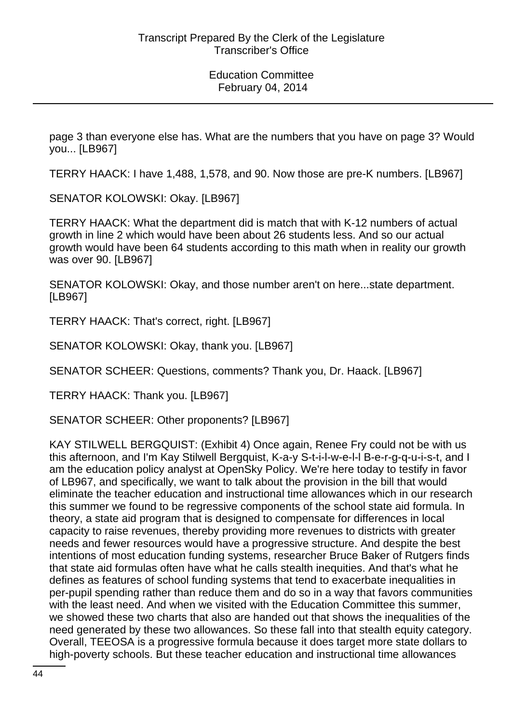page 3 than everyone else has. What are the numbers that you have on page 3? Would you... [LB967]

TERRY HAACK: I have 1,488, 1,578, and 90. Now those are pre-K numbers. [LB967]

SENATOR KOLOWSKI: Okay. [LB967]

TERRY HAACK: What the department did is match that with K-12 numbers of actual growth in line 2 which would have been about 26 students less. And so our actual growth would have been 64 students according to this math when in reality our growth was over 90. [LB967]

SENATOR KOLOWSKI: Okay, and those number aren't on here...state department. [LB967]

TERRY HAACK: That's correct, right. [LB967]

SENATOR KOLOWSKI: Okay, thank you. [LB967]

SENATOR SCHEER: Questions, comments? Thank you, Dr. Haack. [LB967]

TERRY HAACK: Thank you. [LB967]

SENATOR SCHEER: Other proponents? [LB967]

KAY STILWELL BERGQUIST: (Exhibit 4) Once again, Renee Fry could not be with us this afternoon, and I'm Kay Stilwell Bergquist, K-a-y S-t-i-l-w-e-l-l B-e-r-g-q-u-i-s-t, and I am the education policy analyst at OpenSky Policy. We're here today to testify in favor of LB967, and specifically, we want to talk about the provision in the bill that would eliminate the teacher education and instructional time allowances which in our research this summer we found to be regressive components of the school state aid formula. In theory, a state aid program that is designed to compensate for differences in local capacity to raise revenues, thereby providing more revenues to districts with greater needs and fewer resources would have a progressive structure. And despite the best intentions of most education funding systems, researcher Bruce Baker of Rutgers finds that state aid formulas often have what he calls stealth inequities. And that's what he defines as features of school funding systems that tend to exacerbate inequalities in per-pupil spending rather than reduce them and do so in a way that favors communities with the least need. And when we visited with the Education Committee this summer, we showed these two charts that also are handed out that shows the inequalities of the need generated by these two allowances. So these fall into that stealth equity category. Overall, TEEOSA is a progressive formula because it does target more state dollars to high-poverty schools. But these teacher education and instructional time allowances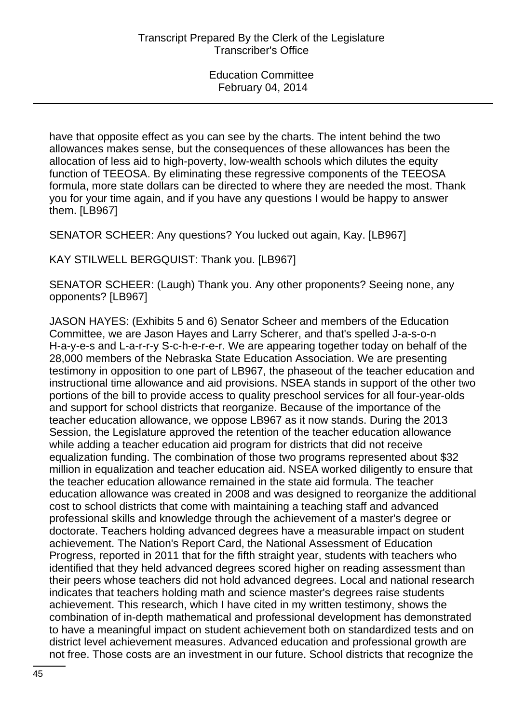have that opposite effect as you can see by the charts. The intent behind the two allowances makes sense, but the consequences of these allowances has been the allocation of less aid to high-poverty, low-wealth schools which dilutes the equity function of TEEOSA. By eliminating these regressive components of the TEEOSA formula, more state dollars can be directed to where they are needed the most. Thank you for your time again, and if you have any questions I would be happy to answer them. [LB967]

SENATOR SCHEER: Any questions? You lucked out again, Kay. [LB967]

KAY STILWELL BERGQUIST: Thank you. [LB967]

SENATOR SCHEER: (Laugh) Thank you. Any other proponents? Seeing none, any opponents? [LB967]

JASON HAYES: (Exhibits 5 and 6) Senator Scheer and members of the Education Committee, we are Jason Hayes and Larry Scherer, and that's spelled J-a-s-o-n H-a-y-e-s and L-a-r-r-y S-c-h-e-r-e-r. We are appearing together today on behalf of the 28,000 members of the Nebraska State Education Association. We are presenting testimony in opposition to one part of LB967, the phaseout of the teacher education and instructional time allowance and aid provisions. NSEA stands in support of the other two portions of the bill to provide access to quality preschool services for all four-year-olds and support for school districts that reorganize. Because of the importance of the teacher education allowance, we oppose LB967 as it now stands. During the 2013 Session, the Legislature approved the retention of the teacher education allowance while adding a teacher education aid program for districts that did not receive equalization funding. The combination of those two programs represented about \$32 million in equalization and teacher education aid. NSEA worked diligently to ensure that the teacher education allowance remained in the state aid formula. The teacher education allowance was created in 2008 and was designed to reorganize the additional cost to school districts that come with maintaining a teaching staff and advanced professional skills and knowledge through the achievement of a master's degree or doctorate. Teachers holding advanced degrees have a measurable impact on student achievement. The Nation's Report Card, the National Assessment of Education Progress, reported in 2011 that for the fifth straight year, students with teachers who identified that they held advanced degrees scored higher on reading assessment than their peers whose teachers did not hold advanced degrees. Local and national research indicates that teachers holding math and science master's degrees raise students achievement. This research, which I have cited in my written testimony, shows the combination of in-depth mathematical and professional development has demonstrated to have a meaningful impact on student achievement both on standardized tests and on district level achievement measures. Advanced education and professional growth are not free. Those costs are an investment in our future. School districts that recognize the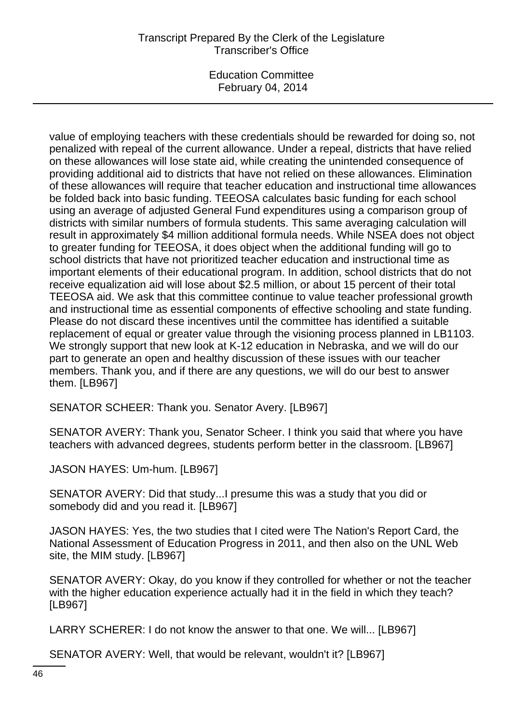## Transcript Prepared By the Clerk of the Legislature Transcriber's Office

Education Committee February 04, 2014

value of employing teachers with these credentials should be rewarded for doing so, not penalized with repeal of the current allowance. Under a repeal, districts that have relied on these allowances will lose state aid, while creating the unintended consequence of providing additional aid to districts that have not relied on these allowances. Elimination of these allowances will require that teacher education and instructional time allowances be folded back into basic funding. TEEOSA calculates basic funding for each school using an average of adjusted General Fund expenditures using a comparison group of districts with similar numbers of formula students. This same averaging calculation will result in approximately \$4 million additional formula needs. While NSEA does not object to greater funding for TEEOSA, it does object when the additional funding will go to school districts that have not prioritized teacher education and instructional time as important elements of their educational program. In addition, school districts that do not receive equalization aid will lose about \$2.5 million, or about 15 percent of their total TEEOSA aid. We ask that this committee continue to value teacher professional growth and instructional time as essential components of effective schooling and state funding. Please do not discard these incentives until the committee has identified a suitable replacement of equal or greater value through the visioning process planned in LB1103. We strongly support that new look at K-12 education in Nebraska, and we will do our part to generate an open and healthy discussion of these issues with our teacher members. Thank you, and if there are any questions, we will do our best to answer them. [LB967]

SENATOR SCHEER: Thank you. Senator Avery. [LB967]

SENATOR AVERY: Thank you, Senator Scheer. I think you said that where you have teachers with advanced degrees, students perform better in the classroom. [LB967]

JASON HAYES: Um-hum. [LB967]

SENATOR AVERY: Did that study...I presume this was a study that you did or somebody did and you read it. [LB967]

JASON HAYES: Yes, the two studies that I cited were The Nation's Report Card, the National Assessment of Education Progress in 2011, and then also on the UNL Web site, the MIM study. [LB967]

SENATOR AVERY: Okay, do you know if they controlled for whether or not the teacher with the higher education experience actually had it in the field in which they teach? [LB967]

LARRY SCHERER: I do not know the answer to that one. We will... [LB967]

SENATOR AVERY: Well, that would be relevant, wouldn't it? [LB967]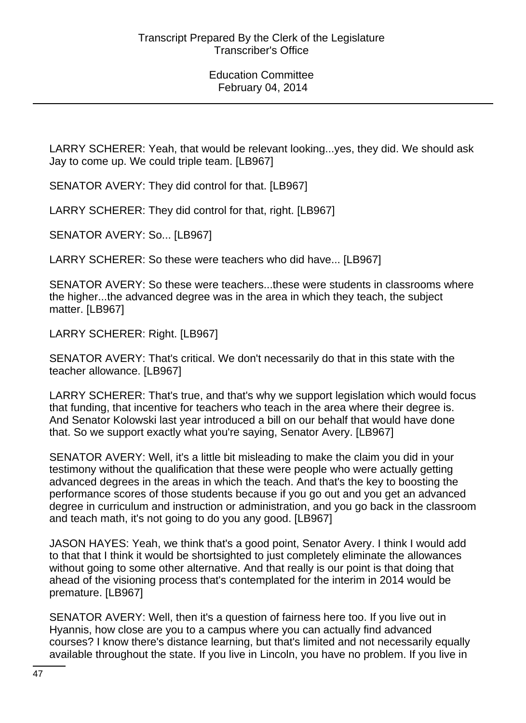LARRY SCHERER: Yeah, that would be relevant looking...yes, they did. We should ask Jay to come up. We could triple team. [LB967]

SENATOR AVERY: They did control for that. [LB967]

LARRY SCHERER: They did control for that, right. [LB967]

SENATOR AVERY: So... [LB967]

LARRY SCHERER: So these were teachers who did have... [LB967]

SENATOR AVERY: So these were teachers...these were students in classrooms where the higher...the advanced degree was in the area in which they teach, the subject matter. [LB967]

LARRY SCHERER: Right. [LB967]

SENATOR AVERY: That's critical. We don't necessarily do that in this state with the teacher allowance. [LB967]

LARRY SCHERER: That's true, and that's why we support legislation which would focus that funding, that incentive for teachers who teach in the area where their degree is. And Senator Kolowski last year introduced a bill on our behalf that would have done that. So we support exactly what you're saying, Senator Avery. [LB967]

SENATOR AVERY: Well, it's a little bit misleading to make the claim you did in your testimony without the qualification that these were people who were actually getting advanced degrees in the areas in which the teach. And that's the key to boosting the performance scores of those students because if you go out and you get an advanced degree in curriculum and instruction or administration, and you go back in the classroom and teach math, it's not going to do you any good. [LB967]

JASON HAYES: Yeah, we think that's a good point, Senator Avery. I think I would add to that that I think it would be shortsighted to just completely eliminate the allowances without going to some other alternative. And that really is our point is that doing that ahead of the visioning process that's contemplated for the interim in 2014 would be premature. [LB967]

SENATOR AVERY: Well, then it's a question of fairness here too. If you live out in Hyannis, how close are you to a campus where you can actually find advanced courses? I know there's distance learning, but that's limited and not necessarily equally available throughout the state. If you live in Lincoln, you have no problem. If you live in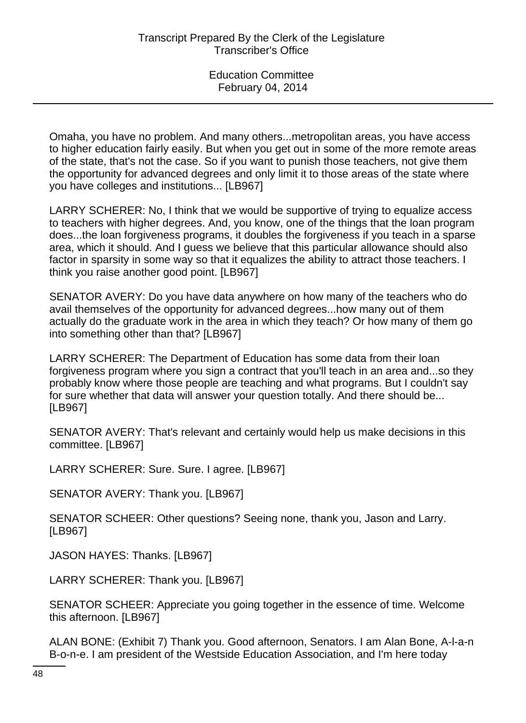Omaha, you have no problem. And many others...metropolitan areas, you have access to higher education fairly easily. But when you get out in some of the more remote areas of the state, that's not the case. So if you want to punish those teachers, not give them the opportunity for advanced degrees and only limit it to those areas of the state where you have colleges and institutions... [LB967]

LARRY SCHERER: No, I think that we would be supportive of trying to equalize access to teachers with higher degrees. And, you know, one of the things that the loan program does...the loan forgiveness programs, it doubles the forgiveness if you teach in a sparse area, which it should. And I guess we believe that this particular allowance should also factor in sparsity in some way so that it equalizes the ability to attract those teachers. I think you raise another good point. [LB967]

SENATOR AVERY: Do you have data anywhere on how many of the teachers who do avail themselves of the opportunity for advanced degrees...how many out of them actually do the graduate work in the area in which they teach? Or how many of them go into something other than that? [LB967]

LARRY SCHERER: The Department of Education has some data from their loan forgiveness program where you sign a contract that you'll teach in an area and...so they probably know where those people are teaching and what programs. But I couldn't say for sure whether that data will answer your question totally. And there should be... [LB967]

SENATOR AVERY: That's relevant and certainly would help us make decisions in this committee. [LB967]

LARRY SCHERER: Sure. Sure. I agree. [LB967]

SENATOR AVERY: Thank you. [LB967]

SENATOR SCHEER: Other questions? Seeing none, thank you, Jason and Larry. [LB967]

JASON HAYES: Thanks. [LB967]

LARRY SCHERER: Thank you. [LB967]

SENATOR SCHEER: Appreciate you going together in the essence of time. Welcome this afternoon. [LB967]

ALAN BONE: (Exhibit 7) Thank you. Good afternoon, Senators. I am Alan Bone, A-l-a-n B-o-n-e. I am president of the Westside Education Association, and I'm here today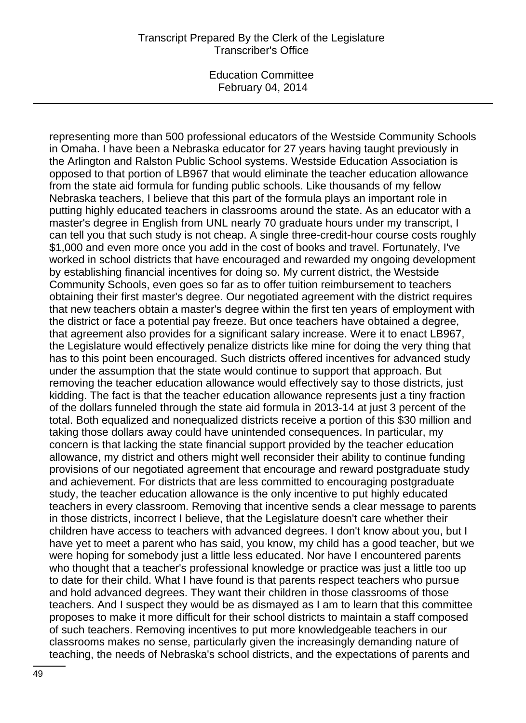#### Transcript Prepared By the Clerk of the Legislature Transcriber's Office

Education Committee February 04, 2014

representing more than 500 professional educators of the Westside Community Schools in Omaha. I have been a Nebraska educator for 27 years having taught previously in the Arlington and Ralston Public School systems. Westside Education Association is opposed to that portion of LB967 that would eliminate the teacher education allowance from the state aid formula for funding public schools. Like thousands of my fellow Nebraska teachers, I believe that this part of the formula plays an important role in putting highly educated teachers in classrooms around the state. As an educator with a master's degree in English from UNL nearly 70 graduate hours under my transcript, I can tell you that such study is not cheap. A single three-credit-hour course costs roughly \$1,000 and even more once you add in the cost of books and travel. Fortunately, I've worked in school districts that have encouraged and rewarded my ongoing development by establishing financial incentives for doing so. My current district, the Westside Community Schools, even goes so far as to offer tuition reimbursement to teachers obtaining their first master's degree. Our negotiated agreement with the district requires that new teachers obtain a master's degree within the first ten years of employment with the district or face a potential pay freeze. But once teachers have obtained a degree, that agreement also provides for a significant salary increase. Were it to enact LB967, the Legislature would effectively penalize districts like mine for doing the very thing that has to this point been encouraged. Such districts offered incentives for advanced study under the assumption that the state would continue to support that approach. But removing the teacher education allowance would effectively say to those districts, just kidding. The fact is that the teacher education allowance represents just a tiny fraction of the dollars funneled through the state aid formula in 2013-14 at just 3 percent of the total. Both equalized and nonequalized districts receive a portion of this \$30 million and taking those dollars away could have unintended consequences. In particular, my concern is that lacking the state financial support provided by the teacher education allowance, my district and others might well reconsider their ability to continue funding provisions of our negotiated agreement that encourage and reward postgraduate study and achievement. For districts that are less committed to encouraging postgraduate study, the teacher education allowance is the only incentive to put highly educated teachers in every classroom. Removing that incentive sends a clear message to parents in those districts, incorrect I believe, that the Legislature doesn't care whether their children have access to teachers with advanced degrees. I don't know about you, but I have yet to meet a parent who has said, you know, my child has a good teacher, but we were hoping for somebody just a little less educated. Nor have I encountered parents who thought that a teacher's professional knowledge or practice was just a little too up to date for their child. What I have found is that parents respect teachers who pursue and hold advanced degrees. They want their children in those classrooms of those teachers. And I suspect they would be as dismayed as I am to learn that this committee proposes to make it more difficult for their school districts to maintain a staff composed of such teachers. Removing incentives to put more knowledgeable teachers in our classrooms makes no sense, particularly given the increasingly demanding nature of teaching, the needs of Nebraska's school districts, and the expectations of parents and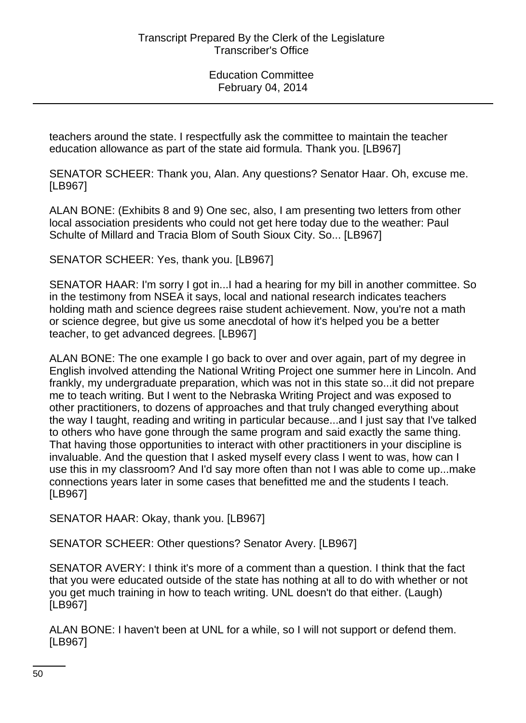teachers around the state. I respectfully ask the committee to maintain the teacher education allowance as part of the state aid formula. Thank you. [LB967]

SENATOR SCHEER: Thank you, Alan. Any questions? Senator Haar. Oh, excuse me. [LB967]

ALAN BONE: (Exhibits 8 and 9) One sec, also, I am presenting two letters from other local association presidents who could not get here today due to the weather: Paul Schulte of Millard and Tracia Blom of South Sioux City. So... [LB967]

SENATOR SCHEER: Yes, thank you. [LB967]

SENATOR HAAR: I'm sorry I got in...I had a hearing for my bill in another committee. So in the testimony from NSEA it says, local and national research indicates teachers holding math and science degrees raise student achievement. Now, you're not a math or science degree, but give us some anecdotal of how it's helped you be a better teacher, to get advanced degrees. [LB967]

ALAN BONE: The one example I go back to over and over again, part of my degree in English involved attending the National Writing Project one summer here in Lincoln. And frankly, my undergraduate preparation, which was not in this state so...it did not prepare me to teach writing. But I went to the Nebraska Writing Project and was exposed to other practitioners, to dozens of approaches and that truly changed everything about the way I taught, reading and writing in particular because...and I just say that I've talked to others who have gone through the same program and said exactly the same thing. That having those opportunities to interact with other practitioners in your discipline is invaluable. And the question that I asked myself every class I went to was, how can I use this in my classroom? And I'd say more often than not I was able to come up...make connections years later in some cases that benefitted me and the students I teach. [LB967]

SENATOR HAAR: Okay, thank you. [LB967]

SENATOR SCHEER: Other questions? Senator Avery. [LB967]

SENATOR AVERY: I think it's more of a comment than a question. I think that the fact that you were educated outside of the state has nothing at all to do with whether or not you get much training in how to teach writing. UNL doesn't do that either. (Laugh) [LB967]

ALAN BONE: I haven't been at UNL for a while, so I will not support or defend them. [LB967]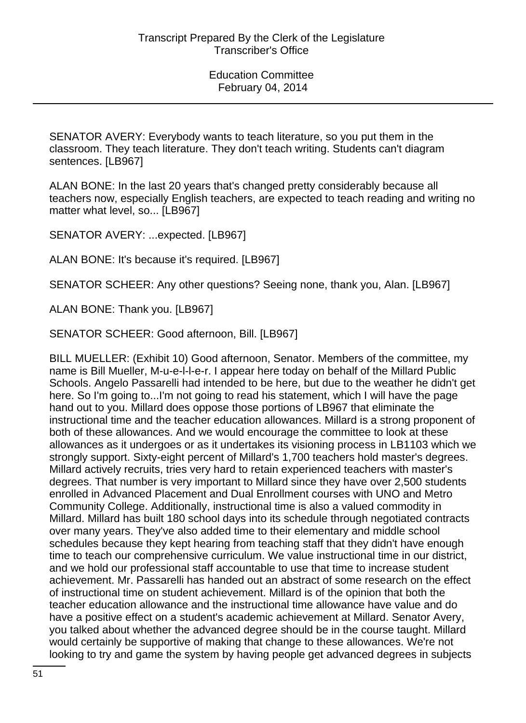SENATOR AVERY: Everybody wants to teach literature, so you put them in the classroom. They teach literature. They don't teach writing. Students can't diagram sentences. [LB967]

ALAN BONE: In the last 20 years that's changed pretty considerably because all teachers now, especially English teachers, are expected to teach reading and writing no matter what level, so... [LB967]

SENATOR AVERY: ...expected. [LB967]

ALAN BONE: It's because it's required. [LB967]

SENATOR SCHEER: Any other questions? Seeing none, thank you, Alan. [LB967]

ALAN BONE: Thank you. [LB967]

SENATOR SCHEER: Good afternoon, Bill. [LB967]

BILL MUELLER: (Exhibit 10) Good afternoon, Senator. Members of the committee, my name is Bill Mueller, M-u-e-l-l-e-r. I appear here today on behalf of the Millard Public Schools. Angelo Passarelli had intended to be here, but due to the weather he didn't get here. So I'm going to...I'm not going to read his statement, which I will have the page hand out to you. Millard does oppose those portions of LB967 that eliminate the instructional time and the teacher education allowances. Millard is a strong proponent of both of these allowances. And we would encourage the committee to look at these allowances as it undergoes or as it undertakes its visioning process in LB1103 which we strongly support. Sixty-eight percent of Millard's 1,700 teachers hold master's degrees. Millard actively recruits, tries very hard to retain experienced teachers with master's degrees. That number is very important to Millard since they have over 2,500 students enrolled in Advanced Placement and Dual Enrollment courses with UNO and Metro Community College. Additionally, instructional time is also a valued commodity in Millard. Millard has built 180 school days into its schedule through negotiated contracts over many years. They've also added time to their elementary and middle school schedules because they kept hearing from teaching staff that they didn't have enough time to teach our comprehensive curriculum. We value instructional time in our district, and we hold our professional staff accountable to use that time to increase student achievement. Mr. Passarelli has handed out an abstract of some research on the effect of instructional time on student achievement. Millard is of the opinion that both the teacher education allowance and the instructional time allowance have value and do have a positive effect on a student's academic achievement at Millard. Senator Avery, you talked about whether the advanced degree should be in the course taught. Millard would certainly be supportive of making that change to these allowances. We're not looking to try and game the system by having people get advanced degrees in subjects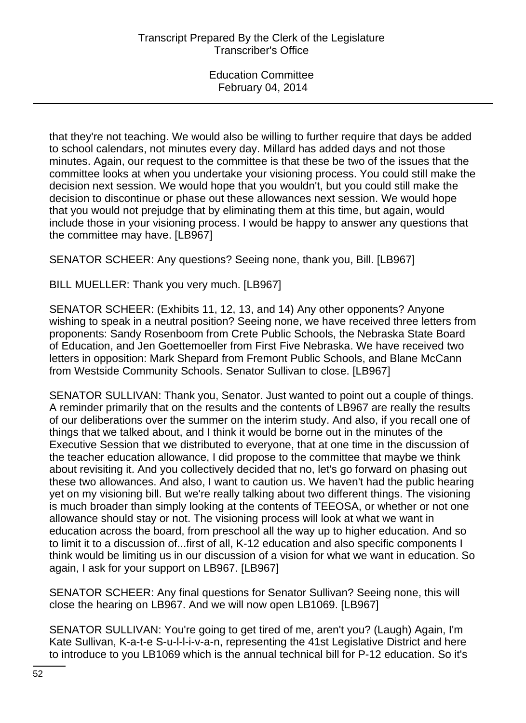that they're not teaching. We would also be willing to further require that days be added to school calendars, not minutes every day. Millard has added days and not those minutes. Again, our request to the committee is that these be two of the issues that the committee looks at when you undertake your visioning process. You could still make the decision next session. We would hope that you wouldn't, but you could still make the decision to discontinue or phase out these allowances next session. We would hope that you would not prejudge that by eliminating them at this time, but again, would include those in your visioning process. I would be happy to answer any questions that the committee may have. [LB967]

SENATOR SCHEER: Any questions? Seeing none, thank you, Bill. [LB967]

BILL MUELLER: Thank you very much. [LB967]

SENATOR SCHEER: (Exhibits 11, 12, 13, and 14) Any other opponents? Anyone wishing to speak in a neutral position? Seeing none, we have received three letters from proponents: Sandy Rosenboom from Crete Public Schools, the Nebraska State Board of Education, and Jen Goettemoeller from First Five Nebraska. We have received two letters in opposition: Mark Shepard from Fremont Public Schools, and Blane McCann from Westside Community Schools. Senator Sullivan to close. [LB967]

SENATOR SULLIVAN: Thank you, Senator. Just wanted to point out a couple of things. A reminder primarily that on the results and the contents of LB967 are really the results of our deliberations over the summer on the interim study. And also, if you recall one of things that we talked about, and I think it would be borne out in the minutes of the Executive Session that we distributed to everyone, that at one time in the discussion of the teacher education allowance, I did propose to the committee that maybe we think about revisiting it. And you collectively decided that no, let's go forward on phasing out these two allowances. And also, I want to caution us. We haven't had the public hearing yet on my visioning bill. But we're really talking about two different things. The visioning is much broader than simply looking at the contents of TEEOSA, or whether or not one allowance should stay or not. The visioning process will look at what we want in education across the board, from preschool all the way up to higher education. And so to limit it to a discussion of...first of all, K-12 education and also specific components I think would be limiting us in our discussion of a vision for what we want in education. So again, I ask for your support on LB967. [LB967]

SENATOR SCHEER: Any final questions for Senator Sullivan? Seeing none, this will close the hearing on LB967. And we will now open LB1069. [LB967]

SENATOR SULLIVAN: You're going to get tired of me, aren't you? (Laugh) Again, I'm Kate Sullivan, K-a-t-e S-u-l-l-i-v-a-n, representing the 41st Legislative District and here to introduce to you LB1069 which is the annual technical bill for P-12 education. So it's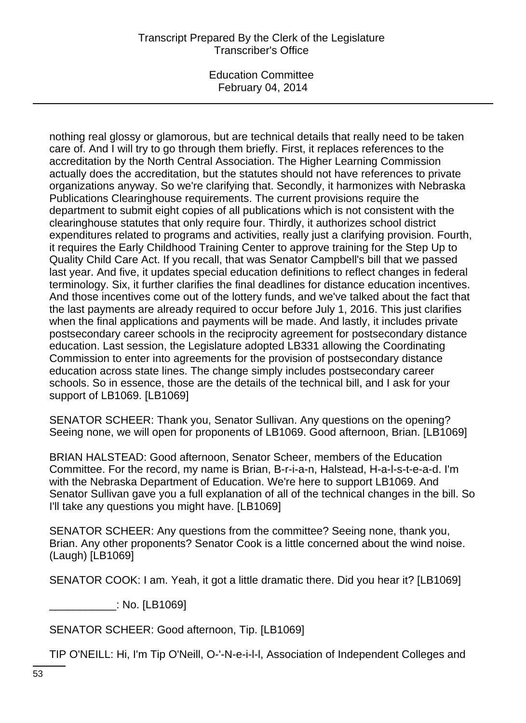## Transcript Prepared By the Clerk of the Legislature Transcriber's Office

Education Committee February 04, 2014

nothing real glossy or glamorous, but are technical details that really need to be taken care of. And I will try to go through them briefly. First, it replaces references to the accreditation by the North Central Association. The Higher Learning Commission actually does the accreditation, but the statutes should not have references to private organizations anyway. So we're clarifying that. Secondly, it harmonizes with Nebraska Publications Clearinghouse requirements. The current provisions require the department to submit eight copies of all publications which is not consistent with the clearinghouse statutes that only require four. Thirdly, it authorizes school district expenditures related to programs and activities, really just a clarifying provision. Fourth, it requires the Early Childhood Training Center to approve training for the Step Up to Quality Child Care Act. If you recall, that was Senator Campbell's bill that we passed last year. And five, it updates special education definitions to reflect changes in federal terminology. Six, it further clarifies the final deadlines for distance education incentives. And those incentives come out of the lottery funds, and we've talked about the fact that the last payments are already required to occur before July 1, 2016. This just clarifies when the final applications and payments will be made. And lastly, it includes private postsecondary career schools in the reciprocity agreement for postsecondary distance education. Last session, the Legislature adopted LB331 allowing the Coordinating Commission to enter into agreements for the provision of postsecondary distance education across state lines. The change simply includes postsecondary career schools. So in essence, those are the details of the technical bill, and I ask for your support of LB1069. [LB1069]

SENATOR SCHEER: Thank you, Senator Sullivan. Any questions on the opening? Seeing none, we will open for proponents of LB1069. Good afternoon, Brian. [LB1069]

BRIAN HALSTEAD: Good afternoon, Senator Scheer, members of the Education Committee. For the record, my name is Brian, B-r-i-a-n, Halstead, H-a-l-s-t-e-a-d. I'm with the Nebraska Department of Education. We're here to support LB1069. And Senator Sullivan gave you a full explanation of all of the technical changes in the bill. So I'll take any questions you might have. [LB1069]

SENATOR SCHEER: Any questions from the committee? Seeing none, thank you, Brian. Any other proponents? Senator Cook is a little concerned about the wind noise. (Laugh) [LB1069]

SENATOR COOK: I am. Yeah, it got a little dramatic there. Did you hear it? [LB1069]

\_\_\_\_\_\_\_\_\_\_\_: No. [LB1069]

SENATOR SCHEER: Good afternoon, Tip. [LB1069]

TIP O'NEILL: Hi, I'm Tip O'Neill, O-'-N-e-i-l-l, Association of Independent Colleges and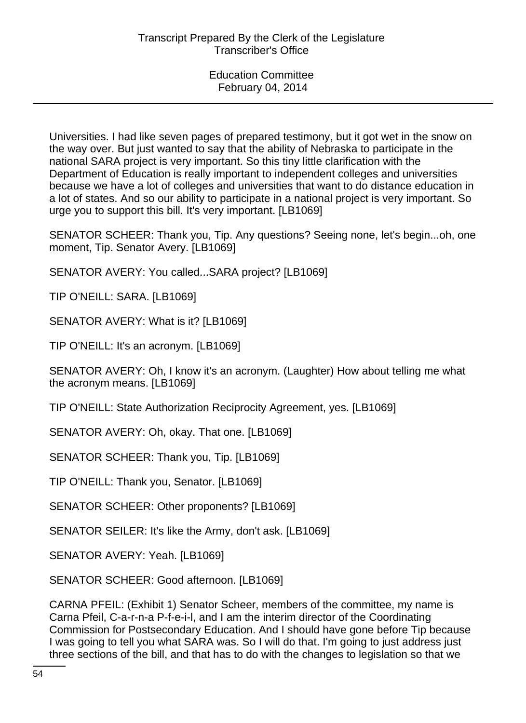Universities. I had like seven pages of prepared testimony, but it got wet in the snow on the way over. But just wanted to say that the ability of Nebraska to participate in the national SARA project is very important. So this tiny little clarification with the Department of Education is really important to independent colleges and universities because we have a lot of colleges and universities that want to do distance education in a lot of states. And so our ability to participate in a national project is very important. So urge you to support this bill. It's very important. [LB1069]

SENATOR SCHEER: Thank you, Tip. Any questions? Seeing none, let's begin...oh, one moment, Tip. Senator Avery. [LB1069]

SENATOR AVERY: You called...SARA project? [LB1069]

TIP O'NEILL: SARA. [LB1069]

SENATOR AVERY: What is it? [LB1069]

TIP O'NEILL: It's an acronym. [LB1069]

SENATOR AVERY: Oh, I know it's an acronym. (Laughter) How about telling me what the acronym means. [LB1069]

TIP O'NEILL: State Authorization Reciprocity Agreement, yes. [LB1069]

SENATOR AVERY: Oh, okay. That one. [LB1069]

SENATOR SCHEER: Thank you, Tip. [LB1069]

TIP O'NEILL: Thank you, Senator. [LB1069]

SENATOR SCHEER: Other proponents? [LB1069]

SENATOR SEILER: It's like the Army, don't ask. [LB1069]

SENATOR AVERY: Yeah. [LB1069]

SENATOR SCHEER: Good afternoon. [LB1069]

CARNA PFEIL: (Exhibit 1) Senator Scheer, members of the committee, my name is Carna Pfeil, C-a-r-n-a P-f-e-i-l, and I am the interim director of the Coordinating Commission for Postsecondary Education. And I should have gone before Tip because I was going to tell you what SARA was. So I will do that. I'm going to just address just three sections of the bill, and that has to do with the changes to legislation so that we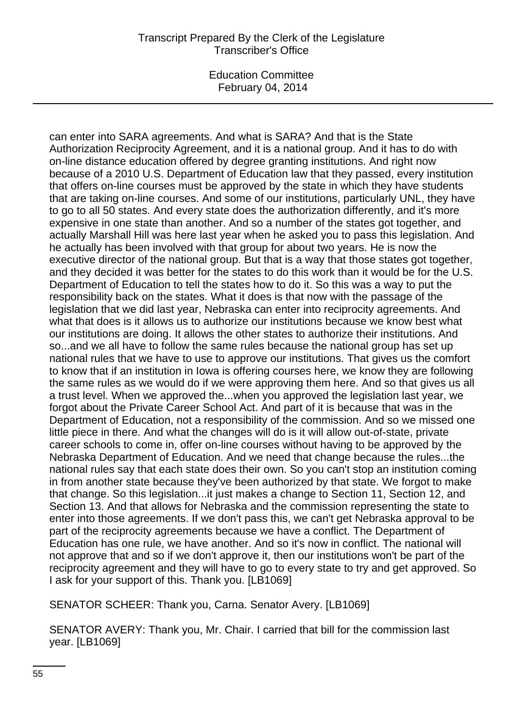## Transcript Prepared By the Clerk of the Legislature Transcriber's Office

Education Committee February 04, 2014

can enter into SARA agreements. And what is SARA? And that is the State Authorization Reciprocity Agreement, and it is a national group. And it has to do with on-line distance education offered by degree granting institutions. And right now because of a 2010 U.S. Department of Education law that they passed, every institution that offers on-line courses must be approved by the state in which they have students that are taking on-line courses. And some of our institutions, particularly UNL, they have to go to all 50 states. And every state does the authorization differently, and it's more expensive in one state than another. And so a number of the states got together, and actually Marshall Hill was here last year when he asked you to pass this legislation. And he actually has been involved with that group for about two years. He is now the executive director of the national group. But that is a way that those states got together, and they decided it was better for the states to do this work than it would be for the U.S. Department of Education to tell the states how to do it. So this was a way to put the responsibility back on the states. What it does is that now with the passage of the legislation that we did last year, Nebraska can enter into reciprocity agreements. And what that does is it allows us to authorize our institutions because we know best what our institutions are doing. It allows the other states to authorize their institutions. And so...and we all have to follow the same rules because the national group has set up national rules that we have to use to approve our institutions. That gives us the comfort to know that if an institution in Iowa is offering courses here, we know they are following the same rules as we would do if we were approving them here. And so that gives us all a trust level. When we approved the...when you approved the legislation last year, we forgot about the Private Career School Act. And part of it is because that was in the Department of Education, not a responsibility of the commission. And so we missed one little piece in there. And what the changes will do is it will allow out-of-state, private career schools to come in, offer on-line courses without having to be approved by the Nebraska Department of Education. And we need that change because the rules...the national rules say that each state does their own. So you can't stop an institution coming in from another state because they've been authorized by that state. We forgot to make that change. So this legislation...it just makes a change to Section 11, Section 12, and Section 13. And that allows for Nebraska and the commission representing the state to enter into those agreements. If we don't pass this, we can't get Nebraska approval to be part of the reciprocity agreements because we have a conflict. The Department of Education has one rule, we have another. And so it's now in conflict. The national will not approve that and so if we don't approve it, then our institutions won't be part of the reciprocity agreement and they will have to go to every state to try and get approved. So I ask for your support of this. Thank you. [LB1069]

SENATOR SCHEER: Thank you, Carna. Senator Avery. [LB1069]

SENATOR AVERY: Thank you, Mr. Chair. I carried that bill for the commission last year. [LB1069]